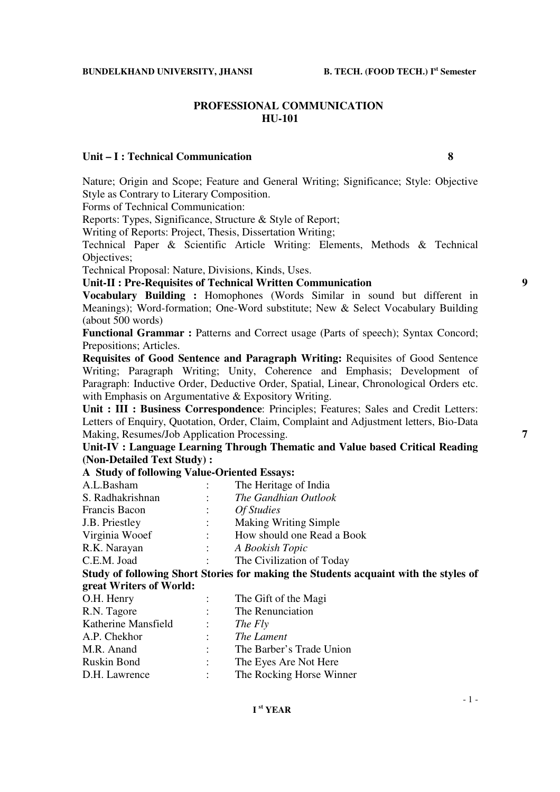#### **PROFESSIONAL COMMUNICATION HU-101**

#### **Unit – I : Technical Communication 8**

Nature; Origin and Scope; Feature and General Writing; Significance; Style: Objective Style as Contrary to Literary Composition.

Forms of Technical Communication:

Reports: Types, Significance, Structure & Style of Report;

Writing of Reports: Project, Thesis, Dissertation Writing;

Technical Paper & Scientific Article Writing: Elements, Methods & Technical Objectives;

Technical Proposal: Nature, Divisions, Kinds, Uses.

**Unit-II : Pre-Requisites of Technical Written Communication 9** 

**Vocabulary Building :** Homophones (Words Similar in sound but different in Meanings); Word-formation; One-Word substitute; New & Select Vocabulary Building (about 500 words)

**Functional Grammar : Patterns and Correct usage (Parts of speech); Syntax Concord;** Prepositions; Articles.

**Requisites of Good Sentence and Paragraph Writing:** Requisites of Good Sentence Writing; Paragraph Writing; Unity, Coherence and Emphasis; Development of Paragraph: Inductive Order, Deductive Order, Spatial, Linear, Chronological Orders etc. with Emphasis on Argumentative & Expository Writing.

**Unit : III : Business Correspondence**: Principles; Features; Sales and Credit Letters: Letters of Enquiry, Quotation, Order, Claim, Complaint and Adjustment letters, Bio-Data Making, Resumes/Job Application Processing. **7** 

**Unit-IV : Language Learning Through Thematic and Value based Critical Reading (Non-Detailed Text Study) :** 

## **A Study of following Value-Oriented Essays:**

| A.L.Basham       | The Heritage of India                                                                |
|------------------|--------------------------------------------------------------------------------------|
| S. Radhakrishnan | The Gandhian Outlook                                                                 |
| Francis Bacon    | <i>Of Studies</i>                                                                    |
| J.B. Priestley   | <b>Making Writing Simple</b>                                                         |
| Virginia Wooef   | How should one Read a Book                                                           |
| R.K. Narayan     | A Bookish Topic                                                                      |
| C.E.M. Joad      | The Civilization of Today                                                            |
|                  | Study of following Short Stories for making the Students acquaint with the styles of |
|                  |                                                                                      |

## **great Writers of World:**

| O.H. Henry          |                           | The Gift of the Magi     |
|---------------------|---------------------------|--------------------------|
| R.N. Tagore         | $\mathbb{Z}^{\mathbb{Z}}$ | The Renunciation         |
| Katherine Mansfield | $\mathcal{L}$             | The Fly                  |
| A.P. Chekhor        |                           | The Lament               |
| M.R. Anand          | $\mathbb{R}^{\mathbb{Z}}$ | The Barber's Trade Union |
| <b>Ruskin Bond</b>  | $\mathbb{R}^n$            | The Eyes Are Not Here    |
| D.H. Lawrence       |                           | The Rocking Horse Winner |

- 1 -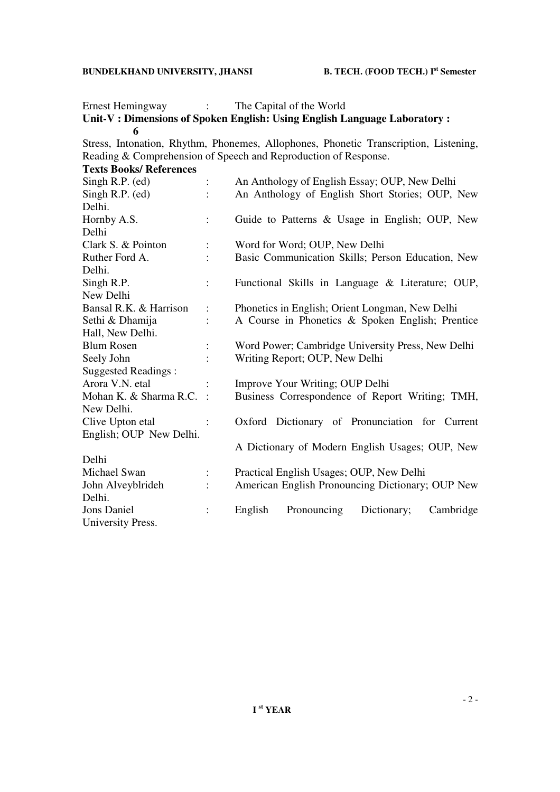Ernest Hemingway : The Capital of the World

## Unit-V : Dimensions of Spoken English: Using English Language Laboratory : **6 6**

Stress, Intonation, Rhythm, Phonemes, Allophones, Phonetic Transcription, Listening, Reading & Comprehension of Speech and Reproduction of Response.

**Texts Books/ References** 

| Singh R.P. (ed)            |                | An Anthology of English Essay; OUP, New Delhi      |
|----------------------------|----------------|----------------------------------------------------|
| Singh R.P. (ed)            |                | An Anthology of English Short Stories; OUP, New    |
| Delhi.                     |                |                                                    |
| Hornby A.S.                |                | Guide to Patterns & Usage in English; OUP, New     |
| Delhi                      |                |                                                    |
| Clark S. & Pointon         |                | Word for Word; OUP, New Delhi                      |
| Ruther Ford A.             |                | Basic Communication Skills; Person Education, New  |
| Delhi.                     |                |                                                    |
| Singh R.P.                 | $\ddot{\cdot}$ | Functional Skills in Language & Literature; OUP,   |
| New Delhi                  |                |                                                    |
| Bansal R.K. & Harrison     |                | Phonetics in English; Orient Longman, New Delhi    |
| Sethi & Dhamija            |                | A Course in Phonetics & Spoken English; Prentice   |
| Hall, New Delhi.           |                |                                                    |
| <b>Blum Rosen</b>          |                | Word Power; Cambridge University Press, New Delhi  |
| Seely John                 |                | Writing Report; OUP, New Delhi                     |
| <b>Suggested Readings:</b> |                |                                                    |
| Arora V.N. etal            |                | Improve Your Writing; OUP Delhi                    |
| Mohan K. & Sharma R.C.     |                | Business Correspondence of Report Writing; TMH,    |
| New Delhi.                 |                |                                                    |
| Clive Upton etal           |                | Oxford Dictionary of Pronunciation for Current     |
| English; OUP New Delhi.    |                |                                                    |
|                            |                | A Dictionary of Modern English Usages; OUP, New    |
| Delhi                      |                |                                                    |
| Michael Swan               |                | Practical English Usages; OUP, New Delhi           |
| John Alveyblrideh          |                | American English Pronouncing Dictionary; OUP New   |
| Delhi.                     |                |                                                    |
| <b>Jons Daniel</b>         |                | Pronouncing<br>Dictionary;<br>Cambridge<br>English |
| University Press.          |                |                                                    |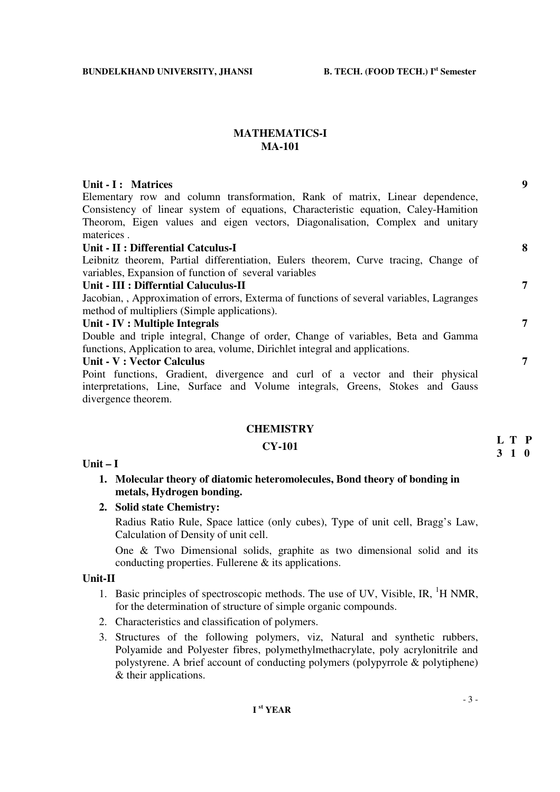## **MATHEMATICS-I MA-101**

## Unit - I : Matrices 9

Elementary row and column transformation, Rank of matrix, Linear dependence, Consistency of linear system of equations, Characteristic equation, Caley-Hamition Theorom, Eigen values and eigen vectors, Diagonalisation, Complex and unitary materices .

## **Unit - II : Differential Catculus-I 8**

Leibnitz theorem, Partial differentiation, Eulers theorem, Curve tracing, Change of variables, Expansion of function of several variables

## **Unit - III : Differntial Caluculus-II 7**

Jacobian, , Approximation of errors, Exterma of functions of several variables, Lagranges method of multipliers (Simple applications).

#### **Unit - IV : Multiple Integrals 7**

Double and triple integral, Change of order, Change of variables, Beta and Gamma functions, Application to area, volume, Dirichlet integral and applications.

## **Unit - V : Vector Calculus 7**

Point functions, Gradient, divergence and curl of a vector and their physical interpretations, Line, Surface and Volume integrals, Greens, Stokes and Gauss divergence theorem.

#### **CHEMISTRY**

## **CY-101**

#### **Unit – I**

## **1. Molecular theory of diatomic heteromolecules, Bond theory of bonding in metals, Hydrogen bonding.**

**2. Solid state Chemistry:** 

Radius Ratio Rule, Space lattice (only cubes), Type of unit cell, Bragg's Law, Calculation of Density of unit cell.

One & Two Dimensional solids, graphite as two dimensional solid and its conducting properties. Fullerene & its applications.

## **Unit-II**

- 1. Basic principles of spectroscopic methods. The use of UV, Visible, IR,  ${}^{1}$ H NMR, for the determination of structure of simple organic compounds.
- 2. Characteristics and classification of polymers.
- 3. Structures of the following polymers, viz, Natural and synthetic rubbers, Polyamide and Polyester fibres, polymethylmethacrylate, poly acrylonitrile and polystyrene. A brief account of conducting polymers (polypyrrole & polytiphene) & their applications.

**L T P 3 1 0**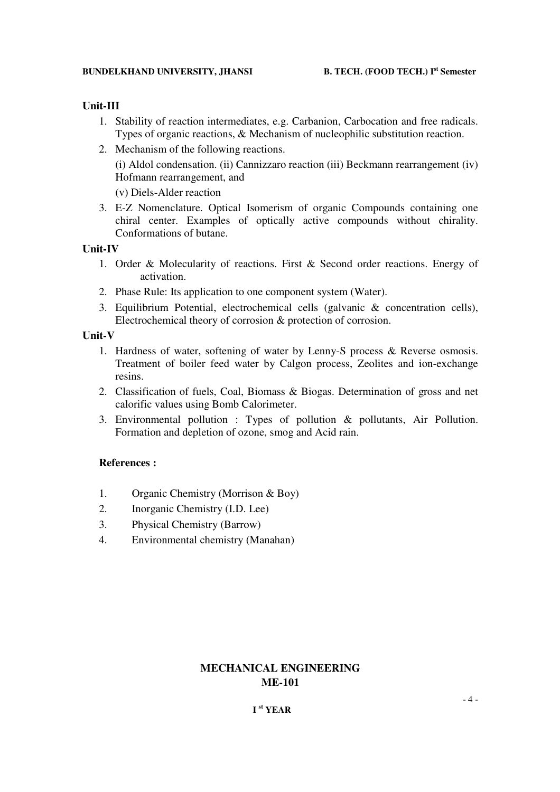## **Unit-III**

- 1. Stability of reaction intermediates, e.g. Carbanion, Carbocation and free radicals. Types of organic reactions, & Mechanism of nucleophilic substitution reaction.
- 2. Mechanism of the following reactions. (i) Aldol condensation. (ii) Cannizzaro reaction (iii) Beckmann rearrangement (iv) Hofmann rearrangement, and

(v) Diels-Alder reaction

3. E-Z Nomenclature. Optical Isomerism of organic Compounds containing one chiral center. Examples of optically active compounds without chirality. Conformations of butane.

## **Unit-IV**

- 1. Order & Molecularity of reactions. First & Second order reactions. Energy of activation.
- 2. Phase Rule: Its application to one component system (Water).
- 3. Equilibrium Potential, electrochemical cells (galvanic & concentration cells), Electrochemical theory of corrosion & protection of corrosion.

## **Unit-V**

- 1. Hardness of water, softening of water by Lenny-S process & Reverse osmosis. Treatment of boiler feed water by Calgon process, Zeolites and ion-exchange resins.
- 2. Classification of fuels, Coal, Biomass & Biogas. Determination of gross and net calorific values using Bomb Calorimeter.
- 3. Environmental pollution : Types of pollution & pollutants, Air Pollution. Formation and depletion of ozone, smog and Acid rain.

## **References :**

- 1. Organic Chemistry (Morrison & Boy)
- 2. Inorganic Chemistry (I.D. Lee)
- 3. Physical Chemistry (Barrow)
- 4. Environmental chemistry (Manahan)

## **MECHANICAL ENGINEERING ME-101**

## **I st YEAR**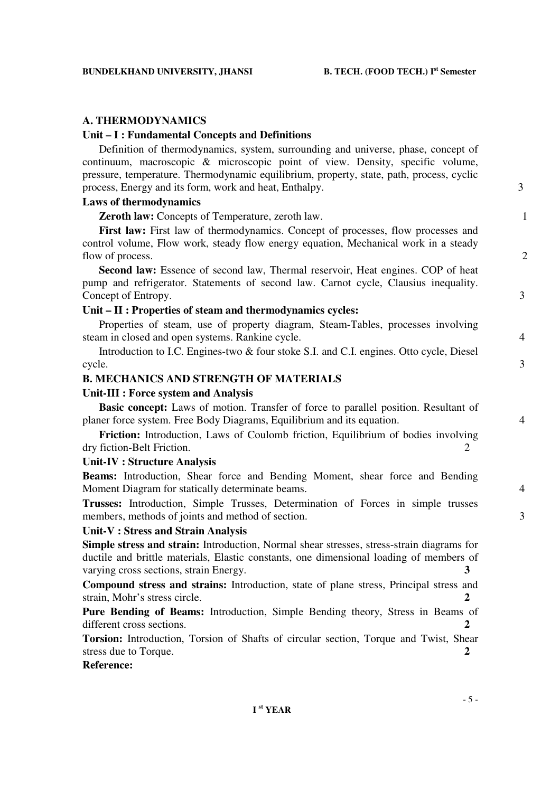## **A. THERMODYNAMICS**

## **Unit – I : Fundamental Concepts and Definitions**

 Definition of thermodynamics, system, surrounding and universe, phase, concept of continuum, macroscopic & microscopic point of view. Density, specific volume, pressure, temperature. Thermodynamic equilibrium, property, state, path, process, cyclic process, Energy and its form, work and heat, Enthalpy. 3

## **Laws of thermodynamics**

**Zeroth law:** Concepts of Temperature, zeroth law. 1

First law: First law of thermodynamics. Concept of processes, flow processes and control volume, Flow work, steady flow energy equation, Mechanical work in a steady flow of process. 2

**Second law:** Essence of second law, Thermal reservoir, Heat engines. COP of heat pump and refrigerator. Statements of second law. Carnot cycle, Clausius inequality. Concept of Entropy. 3

#### **Unit – II : Properties of steam and thermodynamics cycles:**

Properties of steam, use of property diagram, Steam-Tables, processes involving steam in closed and open systems. Rankine cycle.  $\frac{4}{3}$ 

Introduction to I.C. Engines-two & four stoke S.I. and C.I. engines. Otto cycle, Diesel cycle.  $\qquad \qquad 3$ 

## **B. MECHANICS AND STRENGTH OF MATERIALS**

#### **Unit-III : Force system and Analysis**

**Basic concept:** Laws of motion. Transfer of force to parallel position. Resultant of planer force system. Free Body Diagrams, Equilibrium and its equation. 4

 **Friction:** Introduction, Laws of Coulomb friction, Equilibrium of bodies involving dry fiction-Belt Friction. 2

### **Unit-IV : Structure Analysis**

**Beams:** Introduction, Shear force and Bending Moment, shear force and Bending Moment Diagram for statically determinate beams. 4

**Trusses:** Introduction, Simple Trusses, Determination of Forces in simple trusses members, methods of joints and method of section. 3

## **Unit-V : Stress and Strain Analysis**

**Simple stress and strain:** Introduction, Normal shear stresses, stress-strain diagrams for ductile and brittle materials, Elastic constants, one dimensional loading of members of varying cross sections, strain Energy. **3** 

**Compound stress and strains:** Introduction, state of plane stress, Principal stress and strain, Mohr's stress circle. **2**

**Pure Bending of Beams:** Introduction, Simple Bending theory, Stress in Beams of different cross sections. **2** 

**Torsion:** Introduction, Torsion of Shafts of circular section, Torque and Twist, Shear stress due to Torque. **2 2** 

### **Reference:**

- 5 -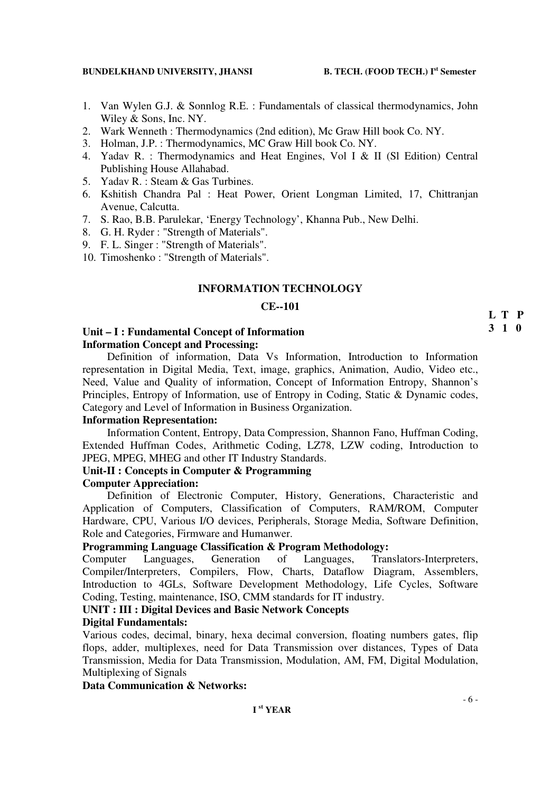- 1. Van Wylen G.J. & Sonnlog R.E. : Fundamentals of classical thermodynamics, John Wiley & Sons, Inc. NY.
- 2. Wark Wenneth : Thermodynamics (2nd edition), Mc Graw Hill book Co. NY.
- 3. Holman, J.P. : Thermodynamics, MC Graw Hill book Co. NY.
- 4. Yadav R. : Thermodynamics and Heat Engines, Vol I & II (Sl Edition) Central Publishing House Allahabad.
- 5. Yadav R. : Steam & Gas Turbines.
- 6. Kshitish Chandra Pal : Heat Power, Orient Longman Limited, 17, Chittranjan Avenue, Calcutta.
- 7. S. Rao, B.B. Parulekar, 'Energy Technology', Khanna Pub., New Delhi.
- 8. G. H. Ryder : "Strength of Materials".
- 9. F. L. Singer : "Strength of Materials".
- 10. Timoshenko : "Strength of Materials".

### **INFORMATION TECHNOLOGY**

## **CE--101**

## **Unit – I : Fundamental Concept of Information Information Concept and Processing:**

Definition of information, Data Vs Information, Introduction to Information representation in Digital Media, Text, image, graphics, Animation, Audio, Video etc., Need, Value and Quality of information, Concept of Information Entropy, Shannon's Principles, Entropy of Information, use of Entropy in Coding, Static & Dynamic codes, Category and Level of Information in Business Organization.

## **Information Representation:**

Information Content, Entropy, Data Compression, Shannon Fano, Huffman Coding, Extended Huffman Codes, Arithmetic Coding, LZ78, LZW coding, Introduction to JPEG, MPEG, MHEG and other IT Industry Standards.

#### **Unit-II : Concepts in Computer & Programming**

#### **Computer Appreciation:**

Definition of Electronic Computer, History, Generations, Characteristic and Application of Computers, Classification of Computers, RAM/ROM, Computer Hardware, CPU, Various I/O devices, Peripherals, Storage Media, Software Definition, Role and Categories, Firmware and Humanwer.

#### **Programming Language Classification & Program Methodology:**

Computer Languages, Generation of Languages, Translators-Interpreters, Compiler/Interpreters, Compilers, Flow, Charts, Dataflow Diagram, Assemblers, Introduction to 4GLs, Software Development Methodology, Life Cycles, Software Coding, Testing, maintenance, ISO, CMM standards for IT industry.

#### **UNIT : III : Digital Devices and Basic Network Concepts**

### **Digital Fundamentals:**

Various codes, decimal, binary, hexa decimal conversion, floating numbers gates, flip flops, adder, multiplexes, need for Data Transmission over distances, Types of Data Transmission, Media for Data Transmission, Modulation, AM, FM, Digital Modulation, Multiplexing of Signals

### **Data Communication & Networks:**

# **L T P**

## **3 1 0**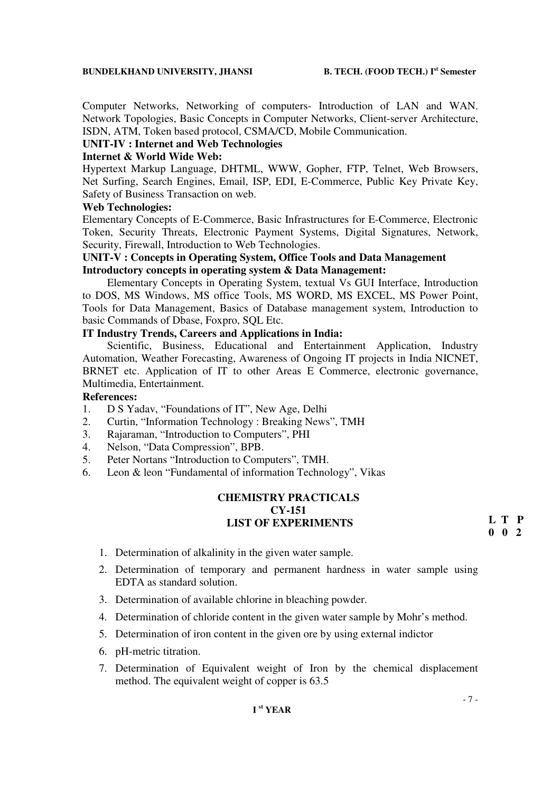Computer Networks, Networking of computers- Introduction of LAN and WAN. Network Topologies, Basic Concepts in Computer Networks, Client-server Architecture, ISDN, ATM, Token based protocol, CSMA/CD, Mobile Communication.

## **UNIT-IV : Internet and Web Technologies**

### **Internet & World Wide Web:**

Hypertext Markup Language, DHTML, WWW, Gopher, FTP, Telnet, Web Browsers, Net Surfing, Search Engines, Email, ISP, EDI, E-Commerce, Public Key Private Key, Safety of Business Transaction on web.

#### **Web Technologies:**

Elementary Concepts of E-Commerce, Basic Infrastructures for E-Commerce, Electronic Token, Security Threats, Electronic Payment Systems, Digital Signatures, Network, Security, Firewall, Introduction to Web Technologies.

## **UNIT-V : Concepts in Operating System, Office Tools and Data Management Introductory concepts in operating system & Data Management:**

Elementary Concepts in Operating System, textual Vs GUI Interface, Introduction to DOS, MS Windows, MS office Tools, MS WORD, MS EXCEL, MS Power Point, Tools for Data Management, Basics of Database management system, Introduction to basic Commands of Dbase, Foxpro, SQL Etc.

### **IT Industry Trends, Careers and Applications in India:**

Scientific, Business, Educational and Entertainment Application, Industry Automation, Weather Forecasting, Awareness of Ongoing IT projects in India NICNET, BRNET etc. Application of IT to other Areas E Commerce, electronic governance, Multimedia, Entertainment.

## **References:**

- 1. D S Yadav, "Foundations of IT", New Age, Delhi
- 2. Curtin, "Information Technology : Breaking News", TMH
- 3. Rajaraman, "Introduction to Computers", PHI
- 4. Nelson, "Data Compression", BPB.
- 5. Peter Nortans "Introduction to Computers", TMH.
- 6. Leon & leon "Fundamental of information Technology", Vikas

## **CHEMISTRY PRACTICALS CY-151 LIST OF EXPERIMENTS**

**L T P 0 0 2**

- 1. Determination of alkalinity in the given water sample.
- 2. Determination of temporary and permanent hardness in water sample using EDTA as standard solution.
- 3. Determination of available chlorine in bleaching powder.
- 4. Determination of chloride content in the given water sample by Mohr's method.
- 5. Determination of iron content in the given ore by using external indictor
- 6. pH-metric titration.
- 7. Determination of Equivalent weight of Iron by the chemical displacement method. The equivalent weight of copper is 63.5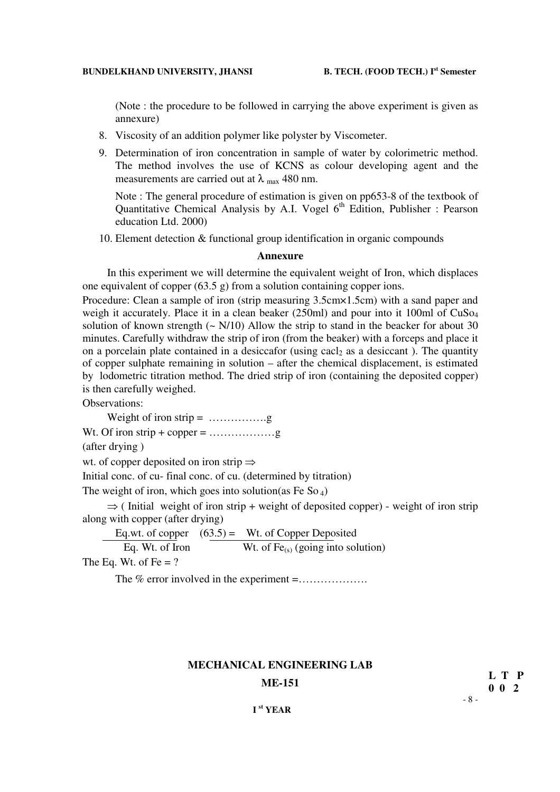(Note : the procedure to be followed in carrying the above experiment is given as annexure)

- 8. Viscosity of an addition polymer like polyster by Viscometer.
- 9. Determination of iron concentration in sample of water by colorimetric method. The method involves the use of KCNS as colour developing agent and the measurements are carried out at  $\lambda$  max 480 nm.

Note : The general procedure of estimation is given on pp653-8 of the textbook of Quantitative Chemical Analysis by A.I. Vogel  $6<sup>th</sup>$  Edition, Publisher : Pearson education Ltd. 2000)

10. Element detection & functional group identification in organic compounds

#### **Annexure**

In this experiment we will determine the equivalent weight of Iron, which displaces one equivalent of copper (63.5 g) from a solution containing copper ions.

Procedure: Clean a sample of iron (strip measuring 3.5cm×1.5cm) with a sand paper and weigh it accurately. Place it in a clean beaker (250ml) and pour into it 100ml of CuSo<sub>4</sub> solution of known strength  $(- N/10)$  Allow the strip to stand in the beacker for about 30 minutes. Carefully withdraw the strip of iron (from the beaker) with a forceps and place it on a porcelain plate contained in a desiccafor (using cacl<sub>2</sub> as a desiccant). The quantity of copper sulphate remaining in solution – after the chemical displacement, is estimated by lodometric titration method. The dried strip of iron (containing the deposited copper) is then carefully weighed.

Observations:

Weight of iron strip =  $\dots$ 

Wt. Of iron strip + copper =  $\dots\dots\dots\dots\dots$ g

(after drying )

wt. of copper deposited on iron strip  $\Rightarrow$ 

Initial conc. of cu- final conc. of cu. (determined by titration)

The weight of iron, which goes into solution(as Fe So  $_4$ )

 $\Rightarrow$  (Initial weight of iron strip + weight of deposited copper) - weight of iron strip along with copper (after drying)

Eq.wt. of copper  $(63.5)$  = Wt. of Copper Deposited Eq. Wt. of Iron Wt. of  $Fe_{(s)}$  (going into solution)

The Eq. Wt. of Fe  $= ?$ 

The % error involved in the experiment =...................

#### **MECHANICAL ENGINEERING LAB**

- 8 - **ME-151 L T P 0.0.2 0 0 2**

## **I st YEAR**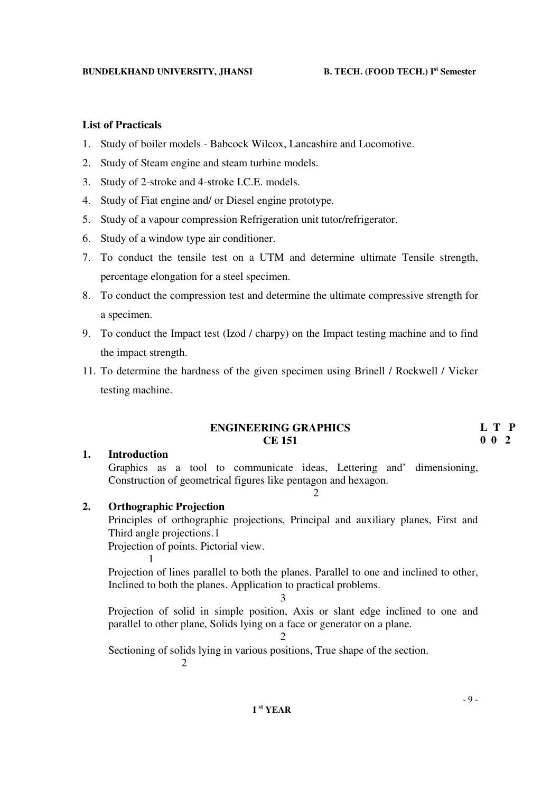### **List of Practicals**

- 1. Study of boiler models Babcock Wilcox, Lancashire and Locomotive.
- 2. Study of Steam engine and steam turbine models.
- 3. Study of 2-stroke and 4-stroke I.C.E. models.
- 4. Study of Fiat engine and/ or Diesel engine prototype.
- 5. Study of a vapour compression Refrigeration unit tutor/refrigerator.
- 6. Study of a window type air conditioner.
- 7. To conduct the tensile test on a UTM and determine ultimate Tensile strength, percentage elongation for a steel specimen.
- 8. To conduct the compression test and determine the ultimate compressive strength for a specimen.
- 9. To conduct the Impact test (Izod / charpy) on the Impact testing machine and to find the impact strength.
- 11. To determine the hardness of the given specimen using Brinell / Rockwell / Vicker testing machine.

## **ENGINEERING GRAPHICS CE 151**

## **L T P 0 0 2**

#### **1. Introduction**

1

 Graphics as a tool to communicate ideas, Lettering and' dimensioning, Construction of geometrical figures like pentagon and hexagon.

2

## **2. Orthographic Projection**

Principles of orthographic projections, Principal and auxiliary planes, First and Third angle projections. 1

Projection of points. Pictorial view.

 Projection of lines parallel to both the planes. Parallel to one and inclined to other, Inclined to both the planes. Application to practical problems.

3

 Projection of solid in simple position, Axis or slant edge inclined to one and parallel to other plane, Solids lying on a face or generator on a plane.

Sectioning of solids lying in various positions, True shape of the section.

2

2

- 9 -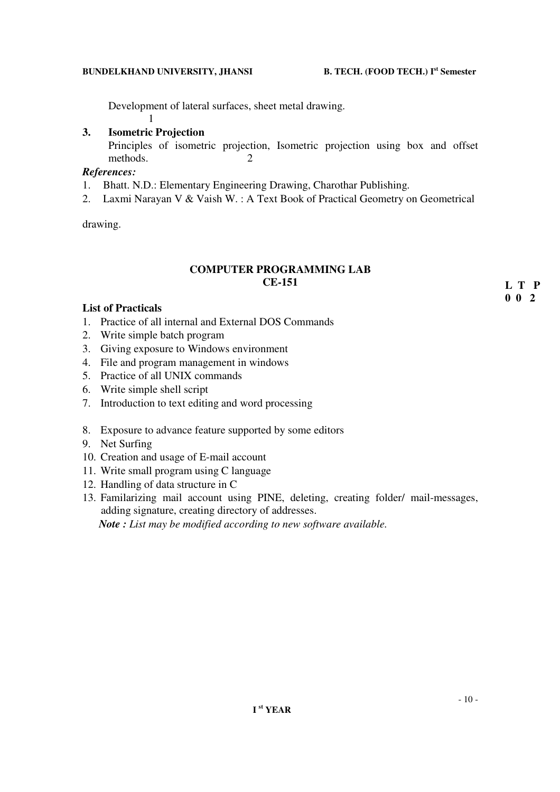Development of lateral surfaces, sheet metal drawing. 1

## **3. Isometric Projection**

 Principles of isometric projection, Isometric projection using box and offset methods.

## *References:*

- 1. Bhatt. N.D.: Elementary Engineering Drawing, Charothar Publishing.
- 2. Laxmi Narayan V & Vaish W. : A Text Book of Practical Geometry on Geometrical

drawing.

## **COMPUTER PROGRAMMING LAB CE-151**

**L T P 0 0 2**

## **List of Practicals**

- 1. Practice of all internal and External DOS Commands
- 2. Write simple batch program
- 3. Giving exposure to Windows environment
- 4. File and program management in windows
- 5. Practice of all UNIX commands
- 6. Write simple shell script
- 7. Introduction to text editing and word processing
- 8. Exposure to advance feature supported by some editors
- 9. Net Surfing
- 10. Creation and usage of E-mail account
- 11. Write small program using C language
- 12. Handling of data structure in C
- 13. Familarizing mail account using PINE, deleting, creating folder/ mail-messages, adding signature, creating directory of addresses.

*Note : List may be modified according to new software available.*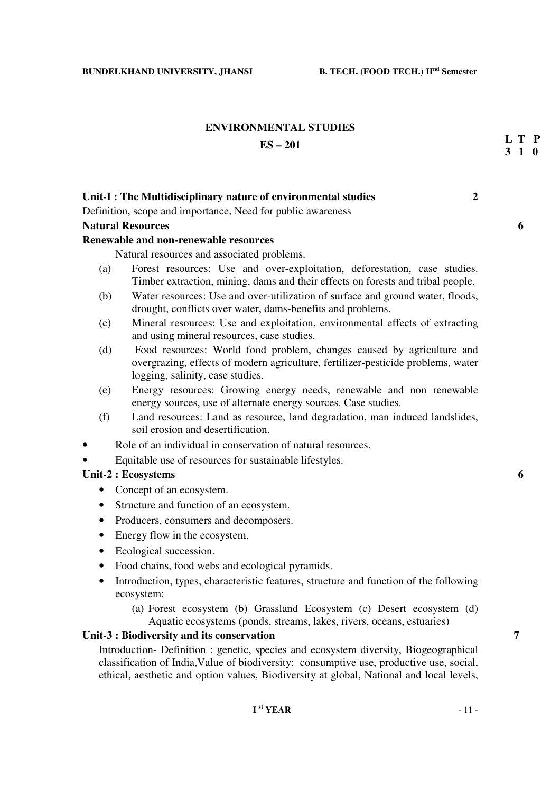# **ENVIRONMENTAL STUDIES**

## **ES – 201**

## **Unit-I : The Multidisciplinary nature of environmental studies 2**

Definition, scope and importance, Need for public awareness

## **Natural Resources 6**

## **Renewable and non-renewable resources**

Natural resources and associated problems.

- (a) Forest resources: Use and over-exploitation, deforestation, case studies. Timber extraction, mining, dams and their effects on forests and tribal people.
- (b) Water resources: Use and over-utilization of surface and ground water, floods, drought, conflicts over water, dams-benefits and problems.
- (c) Mineral resources: Use and exploitation, environmental effects of extracting and using mineral resources, case studies.
- (d) Food resources: World food problem, changes caused by agriculture and overgrazing, effects of modern agriculture, fertilizer-pesticide problems, water logging, salinity, case studies.
- (e) Energy resources: Growing energy needs, renewable and non renewable energy sources, use of alternate energy sources. Case studies.
- (f) Land resources: Land as resource, land degradation, man induced landslides, soil erosion and desertification.
- Role of an individual in conservation of natural resources.
- Equitable use of resources for sustainable lifestyles.

## Unit-2 : Ecosystems 6 **6**

- Concept of an ecosystem.
- Structure and function of an ecosystem.
- Producers, consumers and decomposers.
- Energy flow in the ecosystem.
- Ecological succession.
- Food chains, food webs and ecological pyramids.
- Introduction, types, characteristic features, structure and function of the following ecosystem:
	- (a) Forest ecosystem (b) Grassland Ecosystem (c) Desert ecosystem (d) Aquatic ecosystems (ponds, streams, lakes, rivers, oceans, estuaries)

## **Unit-3 : Biodiversity and its conservation 7**

Introduction- Definition : genetic, species and ecosystem diversity, Biogeographical classification of India,Value of biodiversity: consumptive use, productive use, social, ethical, aesthetic and option values, Biodiversity at global, National and local levels,

**L T P 3 1 0**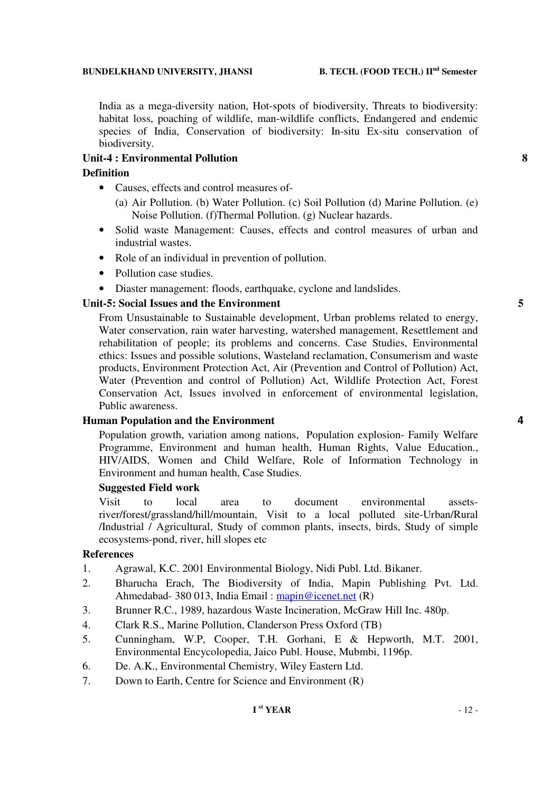## **BUNDELKHAND UNIVERSITY, JHANSI B. TECH. (FOOD TECH.) IInd Semester**

India as a mega-diversity nation, Hot-spots of biodiversity, Threats to biodiversity: habitat loss, poaching of wildlife, man-wildlife conflicts, Endangered and endemic species of India, Conservation of biodiversity: In-situ Ex-situ conservation of biodiversity.

## **Unit-4 : Environmental Pollution 8**

## **Definition**

- Causes, effects and control measures of-
	- (a) Air Pollution. (b) Water Pollution. (c) Soil Pollution (d) Marine Pollution. (e) Noise Pollution. (f)Thermal Pollution. (g) Nuclear hazards.
- Solid waste Management: Causes, effects and control measures of urban and industrial wastes.
- Role of an individual in prevention of pollution.
- Pollution case studies.
- Diaster management: floods, earthquake, cyclone and landslides.

## Unit-5: Social Issues and the Environment 5

From Unsustainable to Sustainable development, Urban problems related to energy, Water conservation, rain water harvesting, watershed management, Resettlement and rehabilitation of people; its problems and concerns. Case Studies, Environmental ethics: Issues and possible solutions, Wasteland reclamation, Consumerism and waste products, Environment Protection Act, Air (Prevention and Control of Pollution) Act, Water (Prevention and control of Pollution) Act, Wildlife Protection Act, Forest Conservation Act, Issues involved in enforcement of environmental legislation, Public awareness.

## **Human Population and the Environment 4**

Population growth, variation among nations, Population explosion- Family Welfare Programme, Environment and human health, Human Rights, Value Education., HIV/AIDS, Women and Child Welfare, Role of Information Technology in Environment and human health, Case Studies.

### **Suggested Field work**

Visit to local area to document environmental assetsriver/forest/grassland/hill/mountain, Visit to a local polluted site-Urban/Rural /Industrial / Agricultural, Study of common plants, insects, birds, Study of simple ecosystems-pond, river, hill slopes etc

## **References**

- 1. Agrawal, K.C. 2001 Environmental Biology, Nidi Publ. Ltd. Bikaner.
- 2. Bharucha Erach, The Biodiversity of India, Mapin Publishing Pvt. Ltd. Ahmedabad- 380 013, India Email : mapin@icenet.net (R)
- 3. Brunner R.C., 1989, hazardous Waste Incineration, McGraw Hill Inc. 480p.
- 4. Clark R.S., Marine Pollution, Clanderson Press Oxford (TB)
- 5. Cunningham, W.P, Cooper, T.H. Gorhani, E & Hepworth, M.T. 2001, Environmental Encycolopedia, Jaico Publ. House, Mubmbi, 1196p.
- 6. De. A.K., Environmental Chemistry, Wiley Eastern Ltd.
- 7. Down to Earth, Centre for Science and Environment (R)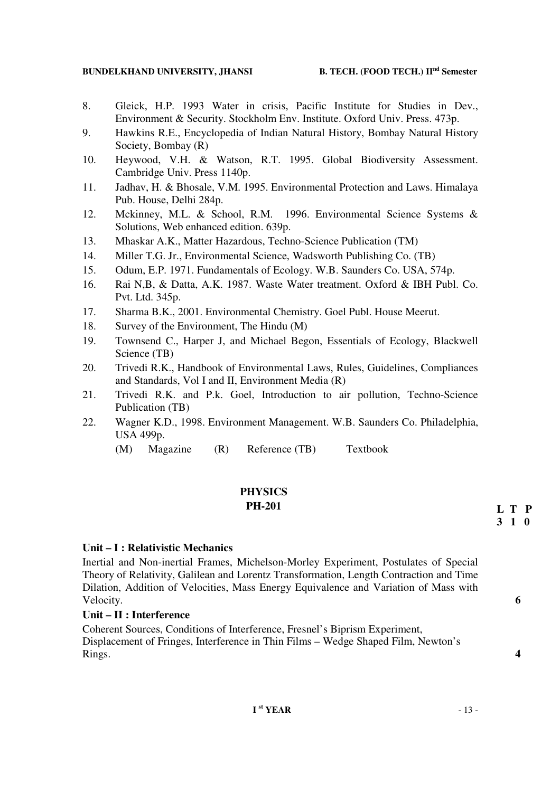#### **BUNDELKHAND UNIVERSITY, JHANSI B. TECH. (FOOD TECH.) IInd Semester**

- 8. Gleick, H.P. 1993 Water in crisis, Pacific Institute for Studies in Dev., Environment & Security. Stockholm Env. Institute. Oxford Univ. Press. 473p.
- 9. Hawkins R.E., Encyclopedia of Indian Natural History, Bombay Natural History Society, Bombay (R)
- 10. Heywood, V.H. & Watson, R.T. 1995. Global Biodiversity Assessment. Cambridge Univ. Press 1140p.
- 11. Jadhav, H. & Bhosale, V.M. 1995. Environmental Protection and Laws. Himalaya Pub. House, Delhi 284p.
- 12. Mckinney, M.L. & School, R.M. 1996. Environmental Science Systems & Solutions, Web enhanced edition. 639p.
- 13. Mhaskar A.K., Matter Hazardous, Techno-Science Publication (TM)
- 14. Miller T.G. Jr., Environmental Science, Wadsworth Publishing Co. (TB)
- 15. Odum, E.P. 1971. Fundamentals of Ecology. W.B. Saunders Co. USA, 574p.
- 16. Rai N,B, & Datta, A.K. 1987. Waste Water treatment. Oxford & IBH Publ. Co. Pvt. Ltd. 345p.
- 17. Sharma B.K., 2001. Environmental Chemistry. Goel Publ. House Meerut.
- 18. Survey of the Environment, The Hindu (M)
- 19. Townsend C., Harper J, and Michael Begon, Essentials of Ecology, Blackwell Science (TB)
- 20. Trivedi R.K., Handbook of Environmental Laws, Rules, Guidelines, Compliances and Standards, Vol I and II, Environment Media (R)
- 21. Trivedi R.K. and P.k. Goel, Introduction to air pollution, Techno-Science Publication (TB)
- 22. Wagner K.D., 1998. Environment Management. W.B. Saunders Co. Philadelphia, USA 499p.
	- (M) Magazine (R) Reference (TB) Textbook

# **PHYSICS**

## **PH-201**

## **Unit – I : Relativistic Mechanics**

Inertial and Non-inertial Frames, Michelson-Morley Experiment, Postulates of Special Theory of Relativity, Galilean and Lorentz Transformation, Length Contraction and Time Dilation, Addition of Velocities, Mass Energy Equivalence and Variation of Mass with Velocity. **6** 

## **Unit – II : Interference**

Coherent Sources, Conditions of Interference, Fresnel's Biprism Experiment, Displacement of Fringes, Interference in Thin Films – Wedge Shaped Film, Newton's Rings. **4** 

**L T P 3 1 0**

- 
-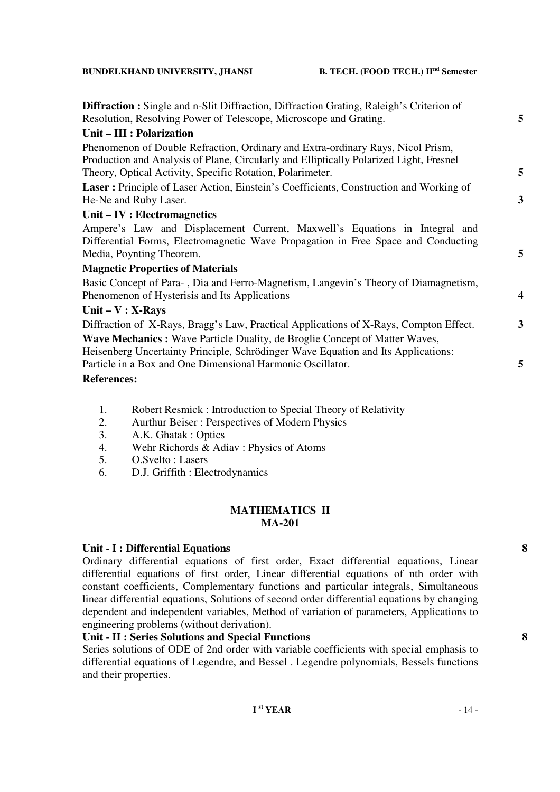#### **BUNDELKHAND UNIVERSITY, JHANSI**

|  |  |  |  |  | B. TECH. (FOOD TECH.) II <sup>nd</sup> Semester |
|--|--|--|--|--|-------------------------------------------------|
|--|--|--|--|--|-------------------------------------------------|

| <b>Diffraction :</b> Single and n-Slit Diffraction, Diffraction Grating, Raleigh's Criterion of |                  |
|-------------------------------------------------------------------------------------------------|------------------|
| Resolution, Resolving Power of Telescope, Microscope and Grating.                               | 5                |
| Unit - III : Polarization                                                                       |                  |
| Phenomenon of Double Refraction, Ordinary and Extra-ordinary Rays, Nicol Prism,                 |                  |
| Production and Analysis of Plane, Circularly and Elliptically Polarized Light, Fresnel          |                  |
| Theory, Optical Activity, Specific Rotation, Polarimeter.                                       | 5                |
| Laser: Principle of Laser Action, Einstein's Coefficients, Construction and Working of          |                  |
| He-Ne and Ruby Laser.                                                                           | 3                |
| Unit – IV : Electromagnetics                                                                    |                  |
| Ampere's Law and Displacement Current, Maxwell's Equations in Integral and                      |                  |
| Differential Forms, Electromagnetic Wave Propagation in Free Space and Conducting               |                  |
| Media, Poynting Theorem.                                                                        | 5                |
| <b>Magnetic Properties of Materials</b>                                                         |                  |
| Basic Concept of Para-, Dia and Ferro-Magnetism, Langevin's Theory of Diamagnetism,             |                  |
| Phenomenon of Hysterisis and Its Applications                                                   | $\boldsymbol{4}$ |
| Unit $-V : X-Rays$                                                                              |                  |
| Diffraction of X-Rays, Bragg's Law, Practical Applications of X-Rays, Compton Effect.           | 3                |
| Wave Mechanics : Wave Particle Duality, de Broglie Concept of Matter Waves,                     |                  |
| Heisenberg Uncertainty Principle, Schrödinger Wave Equation and Its Applications:               |                  |
| Particle in a Box and One Dimensional Harmonic Oscillator.                                      | 5                |
| <b>References:</b>                                                                              |                  |

- 1. Robert Resmick : Introduction to Special Theory of Relativity
- 2. Aurthur Beiser : Perspectives of Modern Physics
- 3. A.K. Ghatak : Optics
- 4. Wehr Richords & Adiav : Physics of Atoms<br>5  $\Omega$  Svelto : Lasers
- 5. O.Svelto : Lasers
- 6. D.J. Griffith : Electrodynamics

## **MATHEMATICS II MA-201**

### **Unit - I : Differential Equations 8**

Ordinary differential equations of first order, Exact differential equations, Linear differential equations of first order, Linear differential equations of nth order with constant coefficients, Complementary functions and particular integrals, Simultaneous linear differential equations, Solutions of second order differential equations by changing dependent and independent variables, Method of variation of parameters, Applications to engineering problems (without derivation).

## **Unit - II : Series Solutions and Special Functions 8**

Series solutions of ODE of 2nd order with variable coefficients with special emphasis to differential equations of Legendre, and Bessel . Legendre polynomials, Bessels functions and their properties.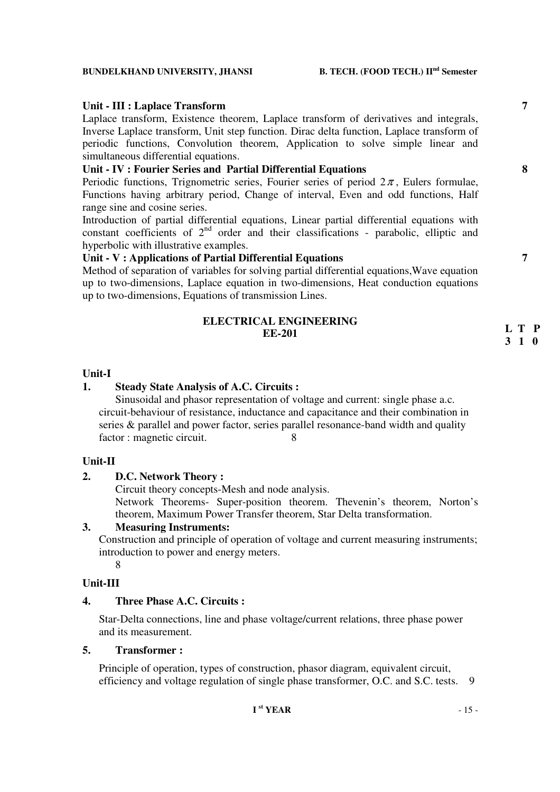#### **BUNDELKHAND UNIVERSITY, JHANSI B. TECH. (FOOD TECH.) IInd Semester**

## **Unit - III : Laplace Transform 7**

Laplace transform, Existence theorem, Laplace transform of derivatives and integrals, Inverse Laplace transform, Unit step function. Dirac delta function, Laplace transform of periodic functions, Convolution theorem, Application to solve simple linear and simultaneous differential equations.

## **Unit - IV : Fourier Series and Partial Differential Equations 8**

Periodic functions, Trignometric series, Fourier series of period  $2\pi$ , Eulers formulae, Functions having arbitrary period, Change of interval, Even and odd functions, Half range sine and cosine series.

Introduction of partial differential equations, Linear partial differential equations with constant coefficients of  $2<sup>nd</sup>$  order and their classifications - parabolic, elliptic and hyperbolic with illustrative examples.

## **Unit - V : Applications of Partial Differential Equations 7**

Method of separation of variables for solving partial differential equations,Wave equation up to two-dimensions, Laplace equation in two-dimensions, Heat conduction equations up to two-dimensions, Equations of transmission Lines.

## **ELECTRICAL ENGINEERING EE-201**

#### **Unit-I**

## **1. Steady State Analysis of A.C. Circuits :**

 Sinusoidal and phasor representation of voltage and current: single phase a.c. circuit-behaviour of resistance, inductance and capacitance and their combination in series & parallel and power factor, series parallel resonance-band width and quality factor : magnetic circuit. 8

### **Unit-II**

## **2. D.C. Network Theory :**

Circuit theory concepts-Mesh and node analysis.

Network Theorems- Super-position theorem. Thevenin's theorem, Norton's theorem, Maximum Power Transfer theorem, Star Delta transformation.

### **3. Measuring Instruments:**

Construction and principle of operation of voltage and current measuring instruments; introduction to power and energy meters.

8

## **Unit-III**

## **4. Three Phase A.C. Circuits :**

Star-Delta connections, line and phase voltage/current relations, three phase power and its measurement.

### **5. Transformer :**

Principle of operation, types of construction, phasor diagram, equivalent circuit, efficiency and voltage regulation of single phase transformer, O.C. and S.C. tests. 9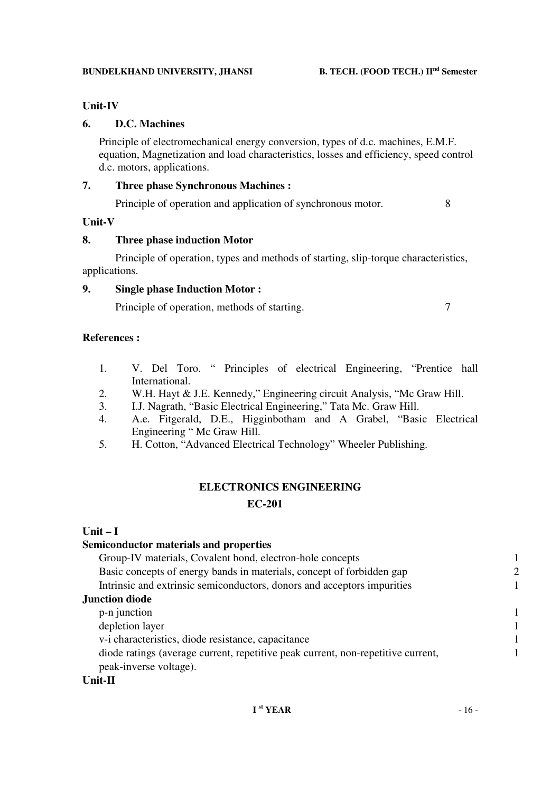## **Unit-IV**

## **6. D.C. Machines**

Principle of electromechanical energy conversion, types of d.c. machines, E.M.F. equation, Magnetization and load characteristics, losses and efficiency, speed control d.c. motors, applications.

## **7. Three phase Synchronous Machines :**

Principle of operation and application of synchronous motor. 8

## **Unit-V**

## **8. Three phase induction Motor**

Principle of operation, types and methods of starting, slip-torque characteristics, applications.

## **9. Single phase Induction Motor :**

Principle of operation, methods of starting. 7

## **References :**

- 1. V. Del Toro. " Principles of electrical Engineering, "Prentice hall International.
- 2. W.H. Hayt & J.E. Kennedy," Engineering circuit Analysis, "Mc Graw Hill.<br>3. L.J. Nagrath. "Basic Electrical Engineering." Tata Mc. Graw Hill.
- 3. I.J. Nagrath, "Basic Electrical Engineering," Tata Mc. Graw Hill.
- 4. A.e. Fitgerald, D.E., Higginbotham and A Grabel, "Basic Electrical Engineering " Mc Graw Hill.
- 5. H. Cotton, "Advanced Electrical Technology" Wheeler Publishing.

## **ELECTRONICS ENGINEERING**

## **EC-201**

## **Unit – I**

## **Semiconductor materials and properties**

| Group-IV materials, Covalent bond, electron-hole concepts                                                  |              |
|------------------------------------------------------------------------------------------------------------|--------------|
| Basic concepts of energy bands in materials, concept of forbidden gap                                      | 2            |
| Intrinsic and extrinsic semiconductors, donors and acceptors impurities                                    |              |
| <b>Junction diode</b>                                                                                      |              |
| p-n junction                                                                                               | $\mathbf{1}$ |
| depletion layer                                                                                            | $\mathbf{1}$ |
| v-i characteristics, diode resistance, capacitance                                                         | $\mathbf{1}$ |
| diode ratings (average current, repetitive peak current, non-repetitive current,<br>peak-inverse voltage). |              |
|                                                                                                            |              |

## **Unit-II**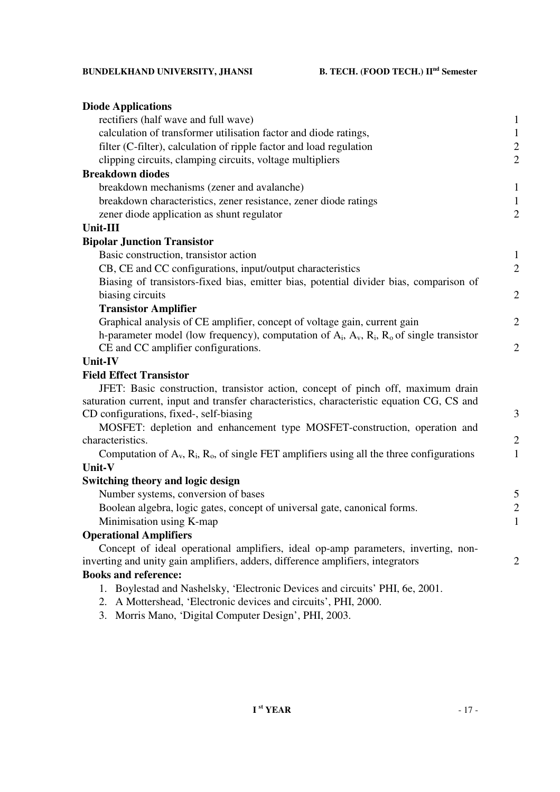| <b>Diode Applications</b>                                                                            |                |
|------------------------------------------------------------------------------------------------------|----------------|
| rectifiers (half wave and full wave)                                                                 | 1              |
| calculation of transformer utilisation factor and diode ratings,                                     | $\mathbf{1}$   |
| filter (C-filter), calculation of ripple factor and load regulation                                  | $\overline{c}$ |
| clipping circuits, clamping circuits, voltage multipliers                                            | $\overline{2}$ |
| <b>Breakdown diodes</b>                                                                              |                |
| breakdown mechanisms (zener and avalanche)                                                           | $\mathbf{1}$   |
| breakdown characteristics, zener resistance, zener diode ratings                                     | $\mathbf{1}$   |
| zener diode application as shunt regulator                                                           | $\overline{2}$ |
| Unit-III                                                                                             |                |
| <b>Bipolar Junction Transistor</b>                                                                   |                |
| Basic construction, transistor action                                                                | 1              |
| CB, CE and CC configurations, input/output characteristics                                           | $\overline{2}$ |
| Biasing of transistors-fixed bias, emitter bias, potential divider bias, comparison of               |                |
| biasing circuits                                                                                     | $\overline{2}$ |
| <b>Transistor Amplifier</b>                                                                          |                |
| Graphical analysis of CE amplifier, concept of voltage gain, current gain                            | $\overline{2}$ |
| h-parameter model (low frequency), computation of $A_i$ , $A_v$ , $R_i$ , $R_o$ of single transistor |                |
| CE and CC amplifier configurations.                                                                  | $\overline{2}$ |
| Unit-IV                                                                                              |                |
| <b>Field Effect Transistor</b>                                                                       |                |
| JFET: Basic construction, transistor action, concept of pinch off, maximum drain                     |                |
| saturation current, input and transfer characteristics, characteristic equation CG, CS and           |                |
| CD configurations, fixed-, self-biasing                                                              | 3              |
| MOSFET: depletion and enhancement type MOSFET-construction, operation and                            |                |
| characteristics.                                                                                     | $\overline{2}$ |
| Computation of $A_v$ , $R_i$ , $R_o$ , of single FET amplifiers using all the three configurations   | $\mathbf{1}$   |
| Unit-V                                                                                               |                |
| Switching theory and logic design                                                                    |                |
| Number systems, conversion of bases                                                                  | 5              |
| Boolean algebra, logic gates, concept of universal gate, canonical forms.                            | $\mathbf{2}$   |
| Minimisation using K-map                                                                             | $\mathbf{1}$   |
| <b>Operational Amplifiers</b>                                                                        |                |
| Concept of ideal operational amplifiers, ideal op-amp parameters, inverting, non-                    |                |
| inverting and unity gain amplifiers, adders, difference amplifiers, integrators                      | $\overline{2}$ |
| <b>Books and reference:</b>                                                                          |                |
| 1. Boylestad and Nashelsky, 'Electronic Devices and circuits' PHI, 6e, 2001.                         |                |

- 2. A Mottershead, 'Electronic devices and circuits', PHI, 2000.
- 3. Morris Mano, 'Digital Computer Design', PHI, 2003.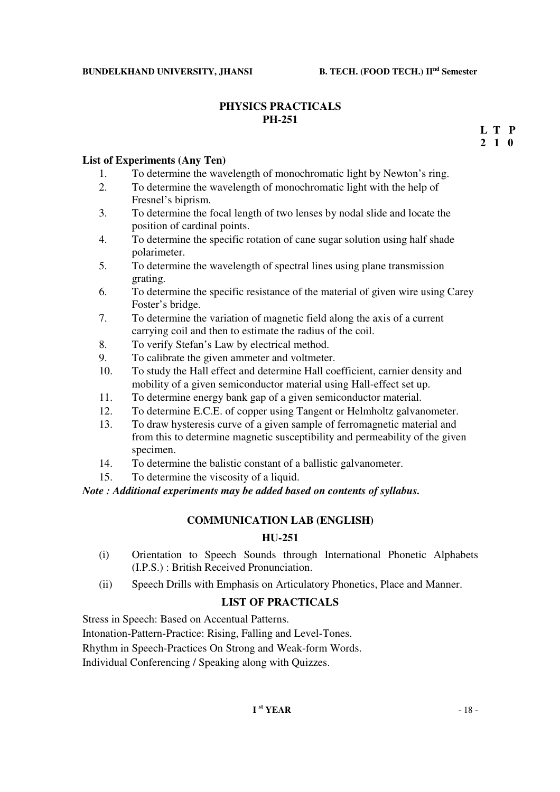## **PHYSICS PRACTICALS PH-251**

 **2 1 0L T P** 

## **List of Experiments (Any Ten)**

- 1. To determine the wavelength of monochromatic light by Newton's ring.
- 2. To determine the wavelength of monochromatic light with the help of Fresnel's biprism.
- 3. To determine the focal length of two lenses by nodal slide and locate the position of cardinal points.
- 4. To determine the specific rotation of cane sugar solution using half shade polarimeter.
- 5. To determine the wavelength of spectral lines using plane transmission grating.
- 6. To determine the specific resistance of the material of given wire using Carey Foster's bridge.
- 7. To determine the variation of magnetic field along the axis of a current carrying coil and then to estimate the radius of the coil.
- 8. To verify Stefan's Law by electrical method.
- 9. To calibrate the given ammeter and voltmeter.
- 10. To study the Hall effect and determine Hall coefficient, carnier density and mobility of a given semiconductor material using Hall-effect set up.
- 11. To determine energy bank gap of a given semiconductor material.
- 12. To determine E.C.E. of copper using Tangent or Helmholtz galvanometer.
- 13. To draw hysteresis curve of a given sample of ferromagnetic material and from this to determine magnetic susceptibility and permeability of the given specimen.
- 14. To determine the balistic constant of a ballistic galvanometer.
- 15. To determine the viscosity of a liquid.

*Note : Additional experiments may be added based on contents of syllabus.* 

### **COMMUNICATION LAB (ENGLISH)**

### **HU-251**

- (i) Orientation to Speech Sounds through International Phonetic Alphabets (I.P.S.) : British Received Pronunciation.
- (ii) Speech Drills with Emphasis on Articulatory Phonetics, Place and Manner.

## **LIST OF PRACTICALS**

Stress in Speech: Based on Accentual Patterns.

Intonation-Pattern-Practice: Rising, Falling and Level-Tones.

Rhythm in Speech-Practices On Strong and Weak-form Words.

Individual Conferencing / Speaking along with Quizzes.

## $I^{\text{st}} \text{YEAR}$  - 18 -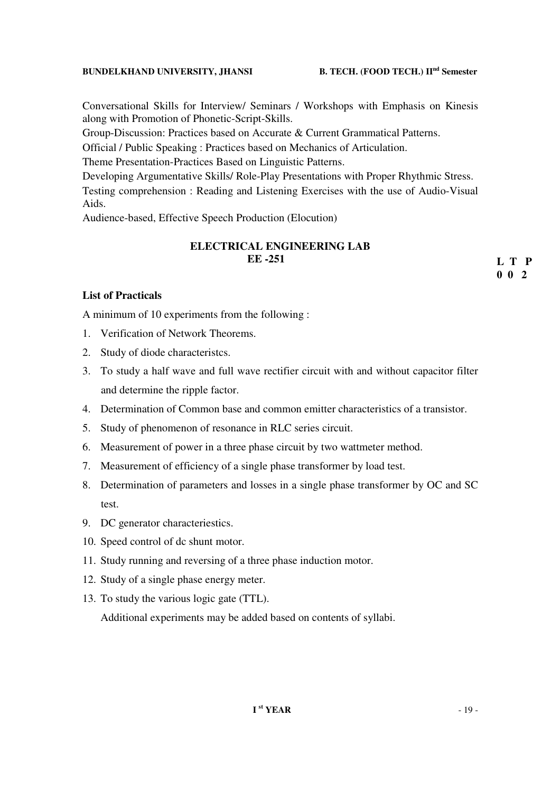## **BUNDELKHAND UNIVERSITY, JHANSI B. TECH. (FOOD TECH.) IInd Semester**

Conversational Skills for Interview/ Seminars / Workshops with Emphasis on Kinesis along with Promotion of Phonetic-Script-Skills.

Group-Discussion: Practices based on Accurate & Current Grammatical Patterns.

Official / Public Speaking : Practices based on Mechanics of Articulation.

Theme Presentation-Practices Based on Linguistic Patterns.

Developing Argumentative Skills/ Role-Play Presentations with Proper Rhythmic Stress.

Testing comprehension : Reading and Listening Exercises with the use of Audio-Visual Aids.

Audience-based, Effective Speech Production (Elocution)

## **ELECTRICAL ENGINEERING LAB EE -251**

**List of Practicals**

A minimum of 10 experiments from the following :

- 1. Verification of Network Theorems.
- 2. Study of diode characteristcs.
- 3. To study a half wave and full wave rectifier circuit with and without capacitor filter and determine the ripple factor.
- 4. Determination of Common base and common emitter characteristics of a transistor.
- 5. Study of phenomenon of resonance in RLC series circuit.
- 6. Measurement of power in a three phase circuit by two wattmeter method.
- 7. Measurement of efficiency of a single phase transformer by load test.
- 8. Determination of parameters and losses in a single phase transformer by OC and SC test.
- 9. DC generator characteriestics.
- 10. Speed control of dc shunt motor.
- 11. Study running and reversing of a three phase induction motor.
- 12. Study of a single phase energy meter.
- 13. To study the various logic gate (TTL).

Additional experiments may be added based on contents of syllabi.

**L T P 0 0 2**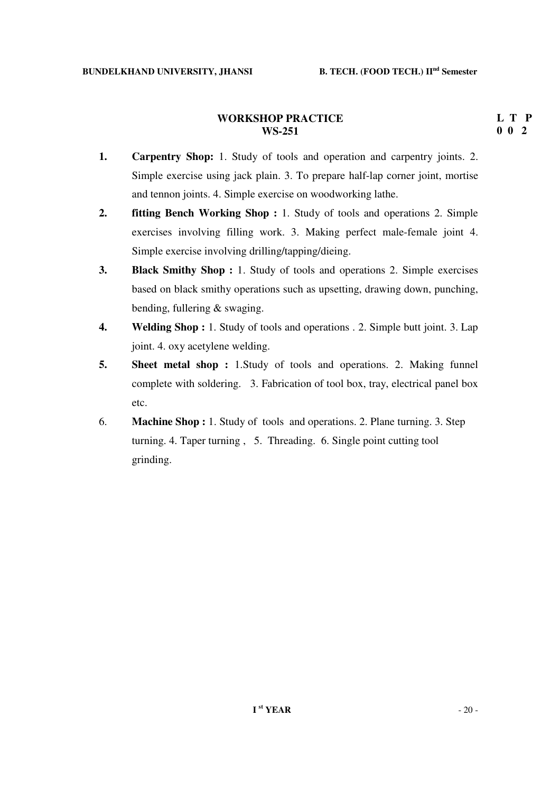## **WORKSHOP PRACTICE WS-251**

- **1. Carpentry Shop:** 1. Study of tools and operation and carpentry joints. 2. Simple exercise using jack plain. 3. To prepare half-lap corner joint, mortise and tennon joints. 4. Simple exercise on woodworking lathe.
- **2. fitting Bench Working Shop :** 1. Study of tools and operations 2. Simple exercises involving filling work. 3. Making perfect male-female joint 4. Simple exercise involving drilling/tapping/dieing.
- **3. Black Smithy Shop :** 1. Study of tools and operations 2. Simple exercises based on black smithy operations such as upsetting, drawing down, punching, bending, fullering & swaging.
- **4. Welding Shop :** 1. Study of tools and operations . 2. Simple butt joint. 3. Lap joint. 4. oxy acetylene welding.
- **5.** Sheet metal shop : 1. Study of tools and operations. 2. Making funnel complete with soldering. 3. Fabrication of tool box, tray, electrical panel box etc.
- 6. **Machine Shop :** 1. Study of tools and operations. 2. Plane turning. 3. Step turning. 4. Taper turning , 5. Threading. 6. Single point cutting tool grinding.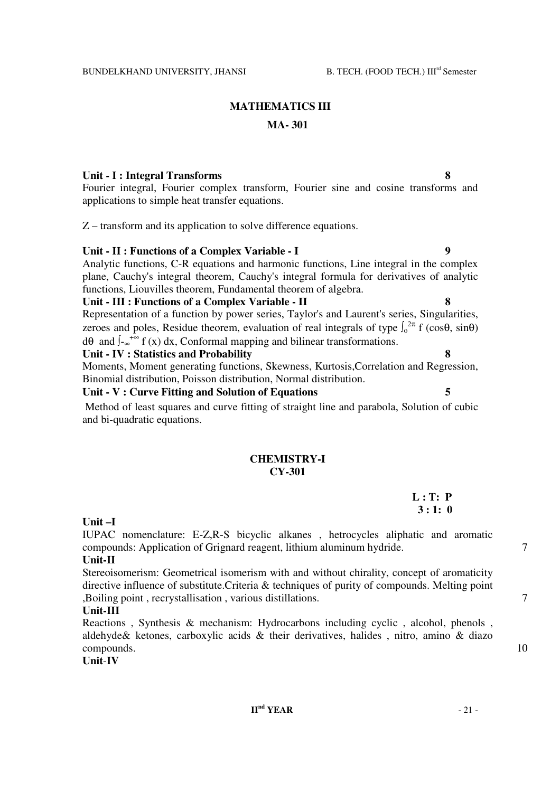## **MATHEMATICS III MA- 301**

### Unit - I : Integral Transforms

Fourier integral, Fourier complex transform, Fourier sine and cosine transforms and applications to simple heat transfer equations.

Z – transform and its application to solve difference equations.

### Unit - II : Functions of a Complex Variable - I 9

Analytic functions, C-R equations and harmonic functions, Line integral in the complex plane, Cauchy's integral theorem, Cauchy's integral formula for derivatives of analytic functions, Liouvilles theorem, Fundamental theorem of algebra.

#### **Unit - III : Functions of a Complex Variable - II 8**

Representation of a function by power series, Taylor's and Laurent's series, Singularities, zeroes and poles, Residue theorem, evaluation of real integrals of type  $\int_0^{2\pi} f(\cos\theta, \sin\theta)$  $d\theta$  and  $\int_{-\infty}^{+\infty} f(x) dx$ , Conformal mapping and bilinear transformations.

#### **Unit - IV : Statistics and Probability 8**

Moments, Moment generating functions, Skewness, Kurtosis,Correlation and Regression, Binomial distribution, Poisson distribution, Normal distribution.

#### **Unit - V : Curve Fitting and Solution of Equations 5**

 Method of least squares and curve fitting of straight line and parabola, Solution of cubic and bi-quadratic equations.

## **CHEMISTRY-I CY-301**

**L : T: P 3 : 1: 0** 

**Unit –I** 

IUPAC nomenclature: E-Z,R-S bicyclic alkanes , hetrocycles aliphatic and aromatic compounds: Application of Grignard reagent, lithium aluminum hydride.  $\frac{7}{100}$ 

## **Unit-II**

Stereoisomerism: Geometrical isomerism with and without chirality, concept of aromaticity directive influence of substitute.Criteria & techniques of purity of compounds. Melting point ,Boiling point , recrystallisation , various distillations. 7

#### **Unit-III**

Reactions , Synthesis & mechanism: Hydrocarbons including cyclic , alcohol, phenols , aldehyde& ketones, carboxylic acids & their derivatives, halides , nitro, amino & diazo compounds. 10

**Unit**-**IV**

- 
- 
-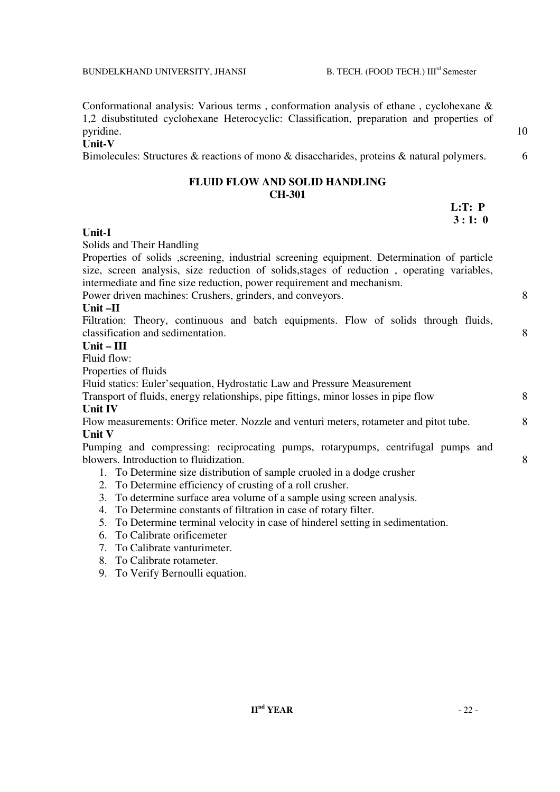pyridine. 10

**Unit-V** 

Bimolecules: Structures & reactions of mono & disaccharides, proteins & natural polymers. 6

## **FLUID FLOW AND SOLID HANDLING CH-301**

Conformational analysis: Various terms , conformation analysis of ethane , cyclohexane & 1,2 disubstituted cyclohexane Heterocyclic: Classification, preparation and properties of

| L:T: P |
|--------|
| 3:1:0  |

## **Unit-I**

Solids and Their Handling

Properties of solids ,screening, industrial screening equipment. Determination of particle size, screen analysis, size reduction of solids,stages of reduction , operating variables, intermediate and fine size reduction, power requirement and mechanism.

Power driven machines: Crushers, grinders, and conveyors. 8

## **Unit –II**

Filtration: Theory, continuous and batch equipments. Flow of solids through fluids, classification and sedimentation. 8

## **Unit – III**

Fluid flow:

Properties of fluids

Fluid statics: Euler'sequation, Hydrostatic Law and Pressure Measurement

### Transport of fluids, energy relationships, pipe fittings, minor losses in pipe flow 8 **Unit IV**

Flow measurements: Orifice meter. Nozzle and venturi meters, rotameter and pitot tube. 8 **Unit V** 

Pumping and compressing: reciprocating pumps, rotarypumps, centrifugal pumps and blowers. Introduction to fluidization. 8

- 1. To Determine size distribution of sample cruoled in a dodge crusher
- 2. To Determine efficiency of crusting of a roll crusher.
- 3. To determine surface area volume of a sample using screen analysis.
- 4. To Determine constants of filtration in case of rotary filter.
- 5. To Determine terminal velocity in case of hinderel setting in sedimentation.
- 6. To Calibrate orificemeter
- 7. To Calibrate vanturimeter.
- 8. To Calibrate rotameter.
- 9. To Verify Bernoulli equation.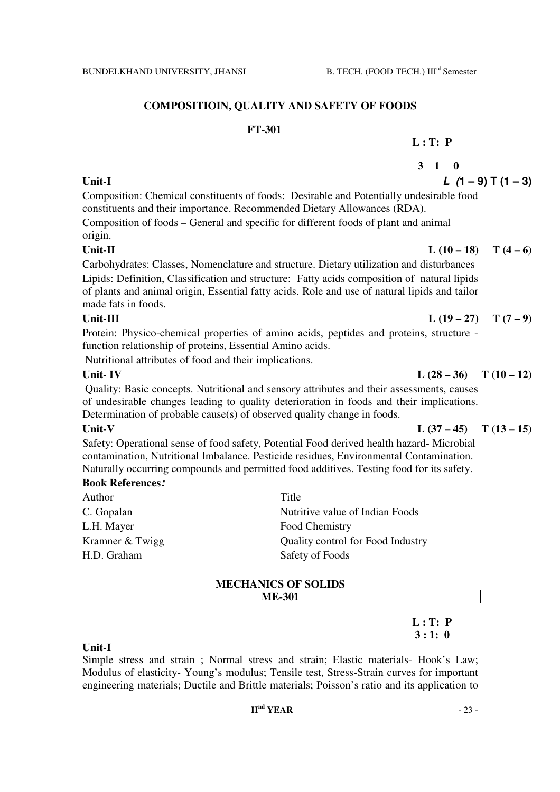## **COMPOSITIOIN, QUALITY AND SAFETY OF FOODS**

#### **FT-301**

## **L : T: P**

## **3 1 0**  Unit-I  $L(1-9)T(1-3)$

Composition: Chemical constituents of foods: Desirable and Potentially undesirable food constituents and their importance. Recommended Dietary Allowances (RDA).

Composition of foods – General and specific for different foods of plant and animal origin.

Unit-II  $L(10-18)$   $T(4-6)$ 

Carbohydrates: Classes, Nomenclature and structure. Dietary utilization and disturbances Lipids: Definition, Classification and structure: Fatty acids composition of natural lipids of plants and animal origin, Essential fatty acids. Role and use of natural lipids and tailor made fats in foods.

## Unit-III  $L(19-27)$  T  $(7-9)$

Protein: Physico-chemical properties of amino acids, peptides and proteins, structure function relationship of proteins, Essential Amino acids.

Nutritional attributes of food and their implications.

 Quality: Basic concepts. Nutritional and sensory attributes and their assessments, causes of undesirable changes leading to quality deterioration in foods and their implications. Determination of probable cause(s) of observed quality change in foods.

Safety: Operational sense of food safety, Potential Food derived health hazard- Microbial contamination, Nutritional Imbalance. Pesticide residues, Environmental Contamination. Naturally occurring compounds and permitted food additives. Testing food for its safety.

## **Book References:**

| Author          | Title                             |
|-----------------|-----------------------------------|
| C. Gopalan      | Nutritive value of Indian Foods   |
| L.H. Mayer      | Food Chemistry                    |
| Kramner & Twigg | Quality control for Food Industry |
| H.D. Graham     | Safety of Foods                   |
|                 |                                   |

## **MECHANICS OF SOLIDS ME-301**

**L : T: P 3 : 1: 0** 

### **Unit-I**

Simple stress and strain ; Normal stress and strain; Elastic materials- Hook's Law; Modulus of elasticity- Young's modulus; Tensile test, Stress-Strain curves for important engineering materials; Ductile and Brittle materials; Poisson's ratio and its application to

## $I\leftarrow{I}^{\text{nd}}$  **YEAR**  $-23$  -

## Unit- IV L (28 – 36) T (10 – 12)

Unit-V  $L (37 - 45)$   $T (13 - 15)$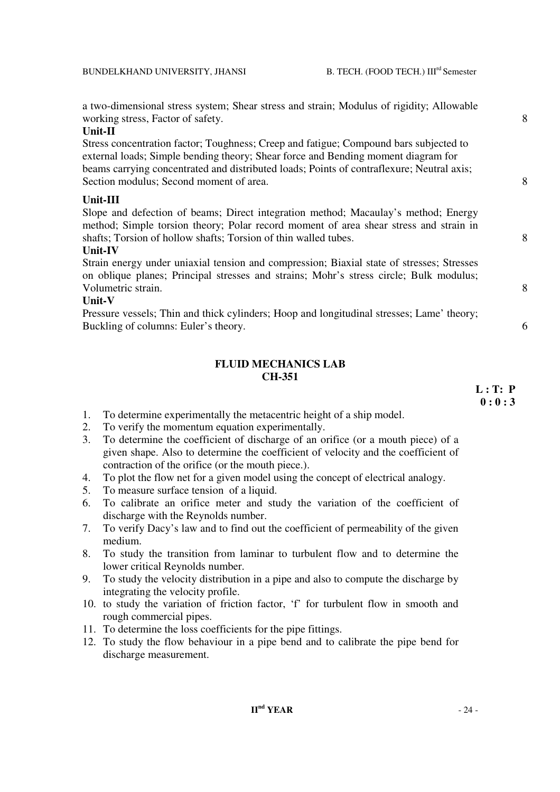a two-dimensional stress system; Shear stress and strain; Modulus of rigidity; Allowable working stress, Factor of safety. 8

## **Unit-II**

Stress concentration factor; Toughness; Creep and fatigue; Compound bars subjected to external loads; Simple bending theory; Shear force and Bending moment diagram for beams carrying concentrated and distributed loads; Points of contraflexure; Neutral axis; Section modulus; Second moment of area. 8

#### **Unit-III**

Slope and defection of beams; Direct integration method; Macaulay's method; Energy method; Simple torsion theory; Polar record moment of area shear stress and strain in shafts: Torsion of hollow shafts: Torsion of thin walled tubes. 8

## **Unit-IV**

Strain energy under uniaxial tension and compression; Biaxial state of stresses; Stresses on oblique planes; Principal stresses and strains; Mohr's stress circle; Bulk modulus; Volumetric strain. 8

### **Unit-V**

Pressure vessels; Thin and thick cylinders; Hoop and longitudinal stresses; Lame' theory; Buckling of columns: Euler's theory. 6

## **FLUID MECHANICS LAB CH-351**

 $L : T: P$  **0 : 0 : 3** 

- 1. To determine experimentally the metacentric height of a ship model.
- 2. To verify the momentum equation experimentally.
- 3. To determine the coefficient of discharge of an orifice (or a mouth piece) of a given shape. Also to determine the coefficient of velocity and the coefficient of contraction of the orifice (or the mouth piece.).
- 4. To plot the flow net for a given model using the concept of electrical analogy.
- 5. To measure surface tension of a liquid.
- 6. To calibrate an orifice meter and study the variation of the coefficient of discharge with the Reynolds number.
- 7. To verify Dacy's law and to find out the coefficient of permeability of the given medium.
- 8. To study the transition from laminar to turbulent flow and to determine the lower critical Reynolds number.
- 9. To study the velocity distribution in a pipe and also to compute the discharge by integrating the velocity profile.
- 10. to study the variation of friction factor, 'f' for turbulent flow in smooth and rough commercial pipes.
- 11. To determine the loss coefficients for the pipe fittings.
- 12. To study the flow behaviour in a pipe bend and to calibrate the pipe bend for discharge measurement.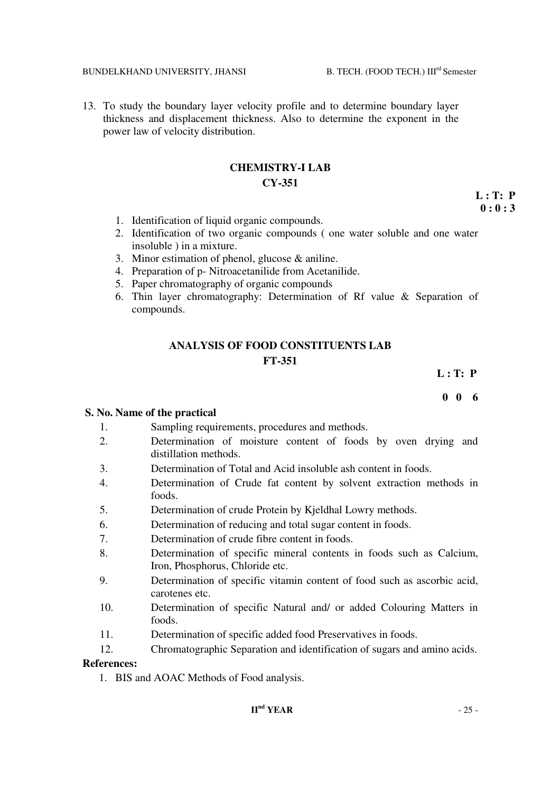13. To study the boundary layer velocity profile and to determine boundary layer thickness and displacement thickness. Also to determine the exponent in the power law of velocity distribution.

## **CHEMISTRY-I LAB CY-351**

 **L : T: P**   $\mathbf{0}: \mathbf{0}: \mathbf{3}$ 

- 1. Identification of liquid organic compounds.
- 2. Identification of two organic compounds ( one water soluble and one water insoluble ) in a mixture.
- 3. Minor estimation of phenol, glucose & aniline.
- 4. Preparation of p- Nitroacetanilide from Acetanilide.
- 5. Paper chromatography of organic compounds
- 6. Thin layer chromatography: Determination of Rf value & Separation of compounds.

## **ANALYSIS OF FOOD CONSTITUENTS LAB FT-351**

**L : T: P** 

 **0 0 6**

## **S. No. Name of the practical**

- 1. Sampling requirements, procedures and methods.
- 2. Determination of moisture content of foods by oven drying and distillation methods.
- 3. Determination of Total and Acid insoluble ash content in foods.
- 4. Determination of Crude fat content by solvent extraction methods in foods.
- 5. Determination of crude Protein by Kjeldhal Lowry methods.
- 6. Determination of reducing and total sugar content in foods.
- 7. Determination of crude fibre content in foods.
- 8. Determination of specific mineral contents in foods such as Calcium, Iron, Phosphorus, Chloride etc.
- 9. Determination of specific vitamin content of food such as ascorbic acid, carotenes etc.
- 10. Determination of specific Natural and/ or added Colouring Matters in foods.
- 11. Determination of specific added food Preservatives in foods.
- 12. Chromatographic Separation and identification of sugars and amino acids.

### **References:**

1. BIS and AOAC Methods of Food analysis.

## $I\leftarrow{I}^{\text{nd}}$  **YEAR**  $-25$  -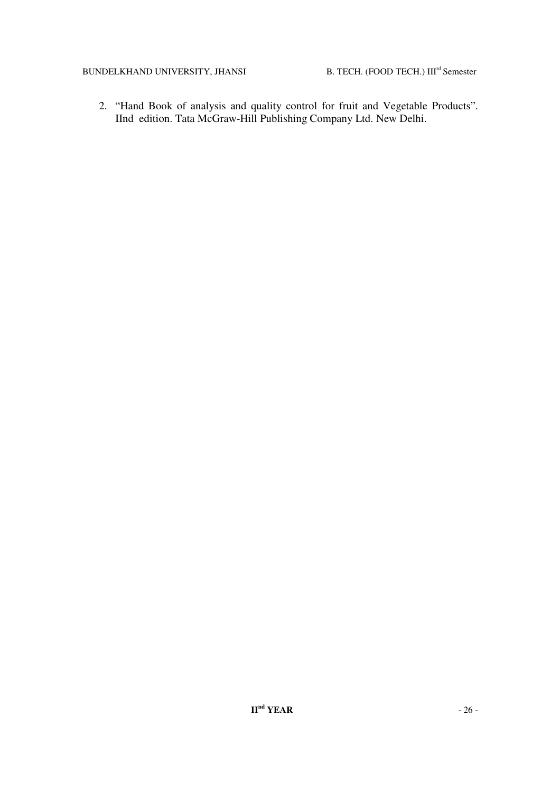2. "Hand Book of analysis and quality control for fruit and Vegetable Products". IInd edition. Tata McGraw-Hill Publishing Company Ltd. New Delhi.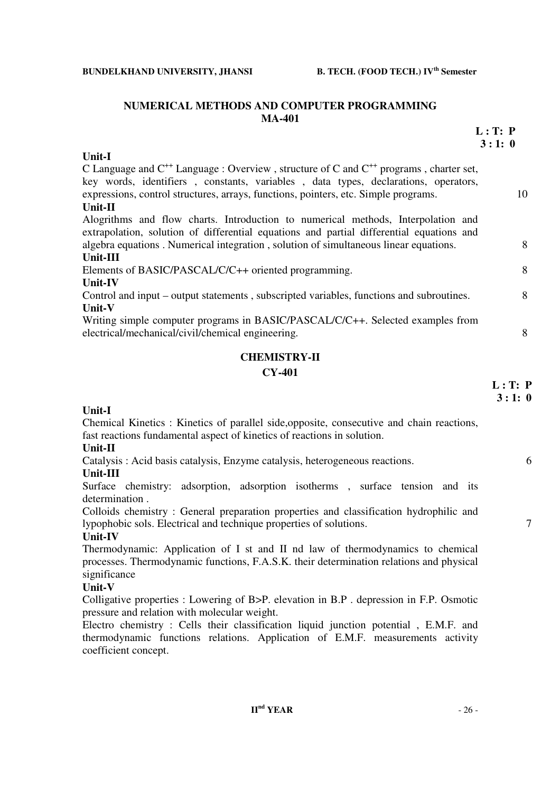## **NUMERICAL METHODS AND COMPUTER PROGRAMMING MA-401**

|                                                                                                                                                                                                                                                                                         | L: T: P<br>3:1:0 |
|-----------------------------------------------------------------------------------------------------------------------------------------------------------------------------------------------------------------------------------------------------------------------------------------|------------------|
| <b>Unit-I</b>                                                                                                                                                                                                                                                                           |                  |
| C Language and $C^{++}$ Language : Overview, structure of C and $C^{++}$ programs, charter set,<br>key words, identifiers, constants, variables, data types, declarations, operators,<br>expressions, control structures, arrays, functions, pointers, etc. Simple programs.<br>Unit-II | 10               |
| Alogrithms and flow charts. Introduction to numerical methods, Interpolation and<br>extrapolation, solution of differential equations and partial differential equations and<br>algebra equations. Numerical integration, solution of simultaneous linear equations.                    | 8                |
| Unit-III                                                                                                                                                                                                                                                                                |                  |
| Elements of BASIC/PASCAL/C/C++ oriented programming.<br><b>Unit-IV</b>                                                                                                                                                                                                                  | 8                |
| Control and input – output statements, subscripted variables, functions and subroutines.<br>Unit-V                                                                                                                                                                                      | 8                |
| Writing simple computer programs in BASIC/PASCAL/C/C++. Selected examples from<br>electrical/mechanical/civil/chemical engineering.                                                                                                                                                     | 8                |
| <b>CHEMISTRY-II</b>                                                                                                                                                                                                                                                                     |                  |
| <b>CY-401</b>                                                                                                                                                                                                                                                                           |                  |
|                                                                                                                                                                                                                                                                                         | L: T: P<br>3:1:0 |
| <b>Unit-I</b>                                                                                                                                                                                                                                                                           |                  |
| Chemical Kinetics: Kinetics of parallel side, opposite, consecutive and chain reactions,<br>fast reactions fundamental aspect of kinetics of reactions in solution.                                                                                                                     |                  |
| Unit-II                                                                                                                                                                                                                                                                                 |                  |
| Catalysis: Acid basis catalysis, Enzyme catalysis, heterogeneous reactions.<br>Unit-III                                                                                                                                                                                                 | 6                |
| Surface chemistry: adsorption, adsorption isotherms, surface tension and its<br>determination.                                                                                                                                                                                          |                  |
| Colloids chemistry: General preparation properties and classification hydrophilic and<br>lypophobic sols. Electrical and technique properties of solutions.                                                                                                                             | $\tau$           |

## **Unit-IV**

Thermodynamic: Application of I st and II nd law of thermodynamics to chemical processes. Thermodynamic functions, F.A.S.K. their determination relations and physical significance

## **Unit-V**

Colligative properties : Lowering of B>P. elevation in B.P . depression in F.P. Osmotic pressure and relation with molecular weight.

Electro chemistry : Cells their classification liquid junction potential , E.M.F. and thermodynamic functions relations. Application of E.M.F. measurements activity coefficient concept.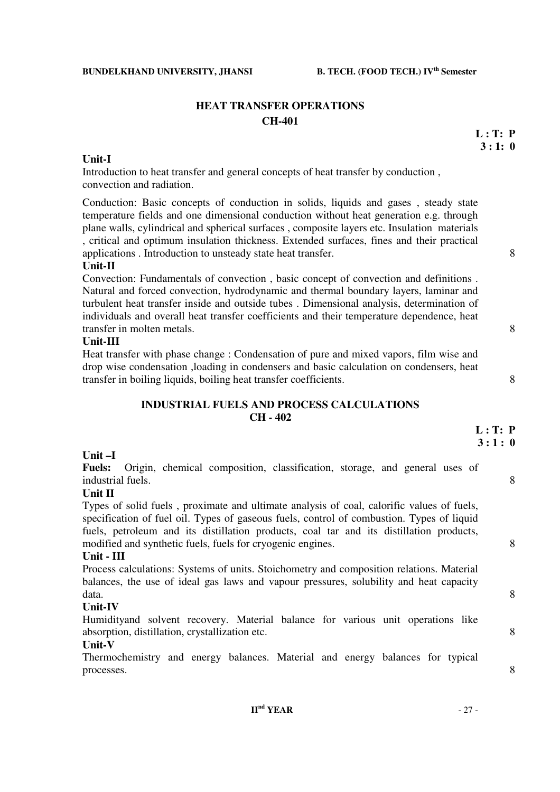## **HEAT TRANSFER OPERATIONS CH-401**

## **Unit-I**

Introduction to heat transfer and general concepts of heat transfer by conduction , convection and radiation.

Conduction: Basic concepts of conduction in solids, liquids and gases , steady state temperature fields and one dimensional conduction without heat generation e.g. through plane walls, cylindrical and spherical surfaces , composite layers etc. Insulation materials , critical and optimum insulation thickness. Extended surfaces, fines and their practical applications . Introduction to unsteady state heat transfer. 8

## **Unit-II**

Convection: Fundamentals of convection , basic concept of convection and definitions . Natural and forced convection, hydrodynamic and thermal boundary layers, laminar and turbulent heat transfer inside and outside tubes . Dimensional analysis, determination of individuals and overall heat transfer coefficients and their temperature dependence, heat transfer in molten metals. 8

#### **Unit-III**

Heat transfer with phase change : Condensation of pure and mixed vapors, film wise and drop wise condensation ,loading in condensers and basic calculation on condensers, heat transfer in boiling liquids, boiling heat transfer coefficients. 8

## **INDUSTRIAL FUELS AND PROCESS CALCULATIONS CH - 402**

| Unit-I<br>Origin, chemical composition, classification, storage, and general uses of<br><b>Fuels:</b><br>8<br>industrial fuels.<br>Unit II                                                                                                                                                                                                           |
|------------------------------------------------------------------------------------------------------------------------------------------------------------------------------------------------------------------------------------------------------------------------------------------------------------------------------------------------------|
|                                                                                                                                                                                                                                                                                                                                                      |
|                                                                                                                                                                                                                                                                                                                                                      |
|                                                                                                                                                                                                                                                                                                                                                      |
|                                                                                                                                                                                                                                                                                                                                                      |
| Types of solid fuels, proximate and ultimate analysis of coal, calorific values of fuels,<br>specification of fuel oil. Types of gaseous fuels, control of combustion. Types of liquid<br>fuels, petroleum and its distillation products, coal tar and its distillation products,<br>8<br>modified and synthetic fuels, fuels for cryogenic engines. |
| Unit - III                                                                                                                                                                                                                                                                                                                                           |
| Process calculations: Systems of units. Stoichometry and composition relations. Material<br>balances, the use of ideal gas laws and vapour pressures, solubility and heat capacity<br>8<br>data.                                                                                                                                                     |
| Unit-IV                                                                                                                                                                                                                                                                                                                                              |
| Humidityand solvent recovery. Material balance for various unit operations like<br>8<br>absorption, distillation, crystallization etc.                                                                                                                                                                                                               |
| Unit-V                                                                                                                                                                                                                                                                                                                                               |
| Thermochemistry and energy balances. Material and energy balances for typical<br>8<br>processes.                                                                                                                                                                                                                                                     |

 **L : T: P 3 : 1: 0**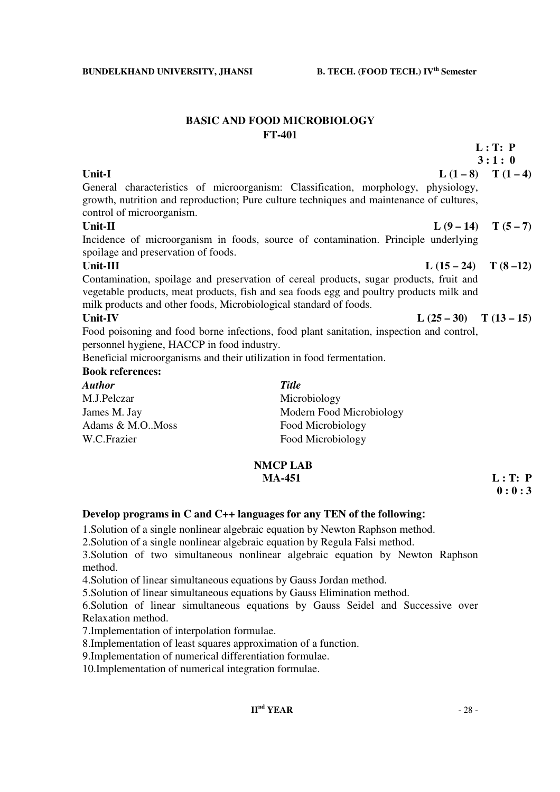## **BASIC AND FOOD MICROBIOLOGY FT-401**

Unit-I  $L(1-8)$   $T(1-4)$ General characteristics of microorganism: Classification, morphology, physiology, growth, nutrition and reproduction; Pure culture techniques and maintenance of cultures, control of microorganism.

 **3 : 1 : 0** 

## **Unit-II**  $L(9-14)$   $T(5-7)$

Incidence of microorganism in foods, source of contamination. Principle underlying spoilage and preservation of foods.

Contamination, spoilage and preservation of cereal products, sugar products, fruit and vegetable products, meat products, fish and sea foods egg and poultry products milk and milk products and other foods, Microbiological standard of foods.

#### Unit-IV  $L (25-30)$   $T (13-15)$

Food poisoning and food borne infections, food plant sanitation, inspection and control, personnel hygiene, HACCP in food industry.

Beneficial microorganisms and their utilization in food fermentation.

## **Book references:**

| <b>Author</b>      | <b>Title</b>             |
|--------------------|--------------------------|
| M.J.Pelczar        | Microbiology             |
| James M. Jay       | Modern Food Microbiology |
| Adams & M.O., Moss | Food Microbiology        |
| W.C.Frazier        | Food Microbiology        |

## **NMCP LAB MA-451 L** : T: P

# $\mathbf{0}:0:3$

## **Develop programs in C and C++ languages for any TEN of the following:**

1.Solution of a single nonlinear algebraic equation by Newton Raphson method.

2.Solution of a single nonlinear algebraic equation by Regula Falsi method.

3.Solution of two simultaneous nonlinear algebraic equation by Newton Raphson method.

4.Solution of linear simultaneous equations by Gauss Jordan method.

5.Solution of linear simultaneous equations by Gauss Elimination method.

6.Solution of linear simultaneous equations by Gauss Seidel and Successive over Relaxation method.

7.Implementation of interpolation formulae.

8.Implementation of least squares approximation of a function.

9.Implementation of numerical differentiation formulae.

10.Implementation of numerical integration formulae.

Unit-III  $L (15-24) T (8-12)$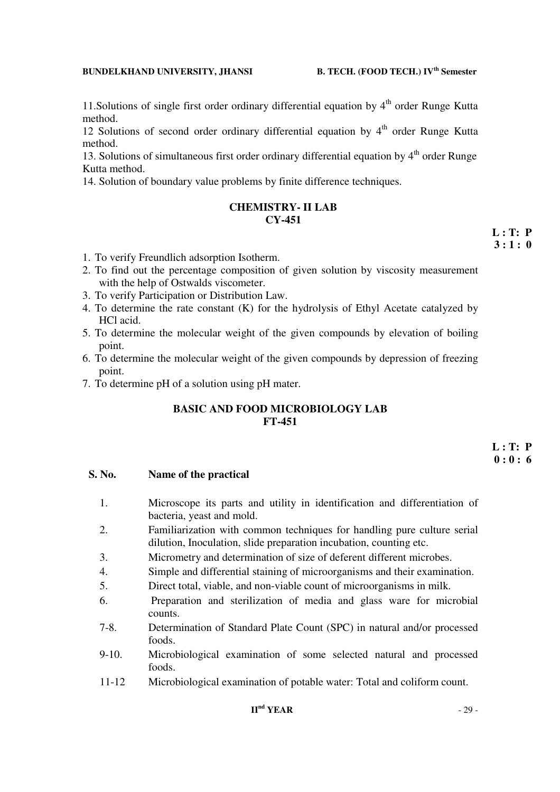11. Solutions of single first order ordinary differential equation by  $4<sup>th</sup>$  order Runge Kutta method.

12 Solutions of second order ordinary differential equation by  $4<sup>th</sup>$  order Runge Kutta method.

13. Solutions of simultaneous first order ordinary differential equation by  $4<sup>th</sup>$  order Runge Kutta method.

14. Solution of boundary value problems by finite difference techniques.

## **CHEMISTRY- II LAB CY-451**

- 1. To verify Freundlich adsorption Isotherm.
- 2. To find out the percentage composition of given solution by viscosity measurement with the help of Ostwalds viscometer.
- 3. To verify Participation or Distribution Law.
- 4. To determine the rate constant (K) for the hydrolysis of Ethyl Acetate catalyzed by HCl acid.
- 5. To determine the molecular weight of the given compounds by elevation of boiling point.
- 6. To determine the molecular weight of the given compounds by depression of freezing point.
- 7. To determine pH of a solution using pH mater.

## **BASIC AND FOOD MICROBIOLOGY LAB FT-451**

#### **S. No. Name of the practical**

- 1. Microscope its parts and utility in identification and differentiation of bacteria, yeast and mold.
- 2. Familiarization with common techniques for handling pure culture serial dilution, Inoculation, slide preparation incubation, counting etc.
- 3. Micrometry and determination of size of deferent different microbes.
- 4. Simple and differential staining of microorganisms and their examination.
- 5. Direct total, viable, and non-viable count of microorganisms in milk.
- 6. Preparation and sterilization of media and glass ware for microbial counts.
- 7-8. Determination of Standard Plate Count (SPC) in natural and/or processed foods.
- 9-10. Microbiological examination of some selected natural and processed foods.
- 11-12 Microbiological examination of potable water: Total and coliform count.

## **IInd YEAR** - 29 -

 **L : T: P 3 : 1 : 0**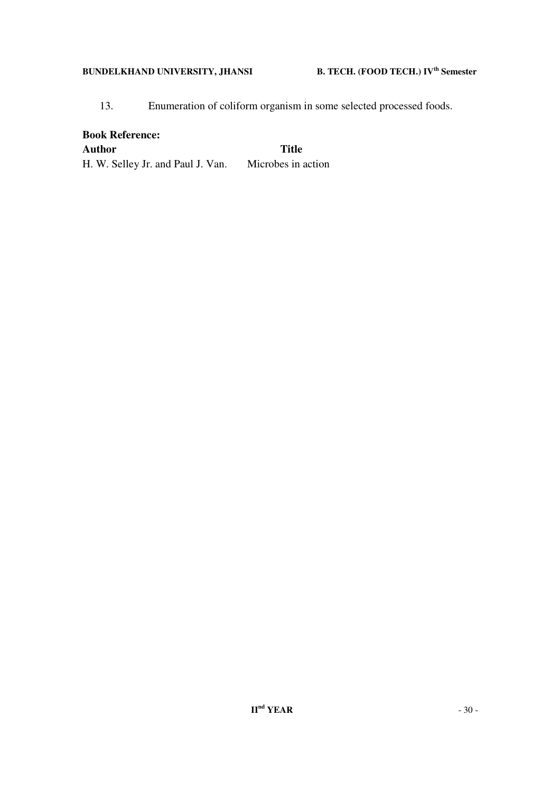13. Enumeration of coliform organism in some selected processed foods.

**Book Reference: Author Title**  H. W. Selley Jr. and Paul J. Van. Microbes in action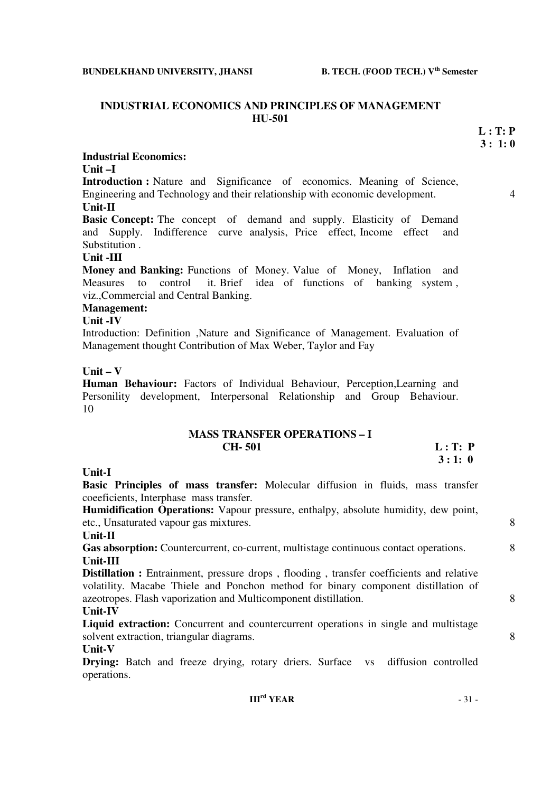### **INDUSTRIAL ECONOMICS AND PRINCIPLES OF MANAGEMENT HU-501**

 **L : T: P 3 : 1: 0** 

**Industrial Economics:** 

**Unit –I** 

**Introduction :** Nature and Significance of economics. Meaning of Science, Engineering and Technology and their relationship with economic development. 4 **Unit-II** 

**Basic Concept:** The concept of demand and supply. Elasticity of Demand and Supply. Indifference curve analysis, Price effect, Income effect and Substitution .

### **Unit -III**

**Money and Banking:** Functions of Money. Value of Money, Inflation and Measures to control it. Brief idea of functions of banking system , viz.,Commercial and Central Banking.

# **Management:**

## **Unit -IV**

Introduction: Definition ,Nature and Significance of Management. Evaluation of Management thought Contribution of Max Weber, Taylor and Fay

#### **Unit – V**

**Human Behaviour:** Factors of Individual Behaviour, Perception,Learning and Personility development, Interpersonal Relationship and Group Behaviour. 10

| <b>MASS TRANSFER OPERATIONS - I</b> |         |
|-------------------------------------|---------|
| <b>CH-501</b>                       | L: T: P |
|                                     | 3:1:0   |

### **Unit-I**

**Basic Principles of mass transfer:** Molecular diffusion in fluids, mass transfer coeeficients, Interphase mass transfer.

**Humidification Operations:** Vapour pressure, enthalpy, absolute humidity, dew point, etc., Unsaturated vapour gas mixtures. 8

#### **Unit-II**

Gas absorption: Countercurrent, co-current, multistage continuous contact operations. 8 **Unit-III**

**Distillation :** Entrainment, pressure drops, flooding, transfer coefficients and relative volatility. Macabe Thiele and Ponchon method for binary component distillation of azeotropes. Flash vaporization and Multicomponent distillation. 8

## **Unit-IV**

Liquid extraction: Concurrent and countercurrent operations in single and multistage solvent extraction, triangular diagrams. 8

#### **Unit-V**

**Drying:** Batch and freeze drying, rotary driers. Surface vs diffusion controlled operations.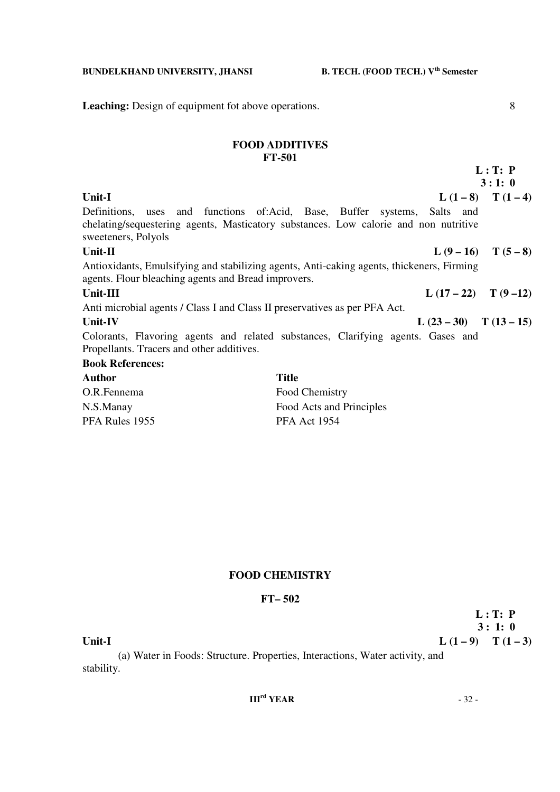**Leaching:** Design of equipment fot above operations. 8

## **FOOD ADDITIVES FT-501**

 **L : T: P 3 : 1: 0 Unit-I**  $L(1-8)$   $T(1-4)$ Definitions, uses and functions of:Acid, Base, Buffer systems, Salts and chelating/sequestering agents, Masticatory substances. Low calorie and non nutritive sweeteners, Polyols Unit-II  $L (9-16) T (5-8)$ Antioxidants, Emulsifying and stabilizing agents, Anti-caking agents, thickeners, Firming agents. Flour bleaching agents and Bread improvers. Unit-III  $L(17-22)$  T  $(9-12)$ Anti microbial agents / Class I and Class II preservatives as per PFA Act. Unit-IV **L**  $(23-30)$  **T**  $(13-15)$ Colorants, Flavoring agents and related substances, Clarifying agents. Gases and Propellants. Tracers and other additives. **Book References: Author Title** 

| .              | -----                    |
|----------------|--------------------------|
| O.R.Fennema    | Food Chemistry           |
| N.S.Manay      | Food Acts and Principles |
| PFA Rules 1955 | <b>PFA Act 1954</b>      |

## **FOOD CHEMISTRY**

#### **FT– 502**

 **L : T: P 3 : 1: 0**

| ×<br>×<br>۰.<br>۰. |
|--------------------|
|--------------------|

 (a) Water in Foods: Structure. Properties, Interactions, Water activity, and stability.

## **IIIrd YEAR** - 32 -

 $L (1 - 9)$  T  $(1 - 3)$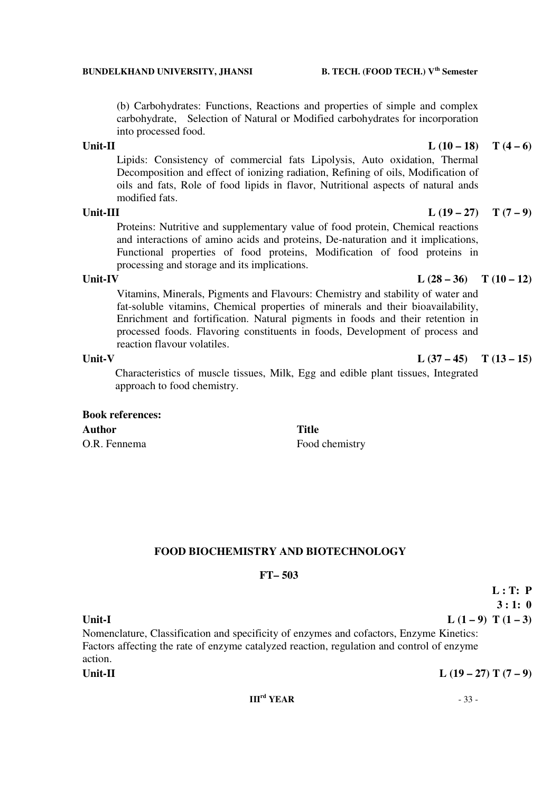(b) Carbohydrates: Functions, Reactions and properties of simple and complex carbohydrate, Selection of Natural or Modified carbohydrates for incorporation into processed food.

### Unit-II  $L(10-18)$   $T(4-6)$

 Lipids: Consistency of commercial fats Lipolysis, Auto oxidation, Thermal Decomposition and effect of ionizing radiation, Refining of oils, Modification of oils and fats, Role of food lipids in flavor, Nutritional aspects of natural ands modified fats.

 Proteins: Nutritive and supplementary value of food protein, Chemical reactions and interactions of amino acids and proteins, De-naturation and it implications, Functional properties of food proteins, Modification of food proteins in processing and storage and its implications.

 Vitamins, Minerals, Pigments and Flavours: Chemistry and stability of water and fat-soluble vitamins, Chemical properties of minerals and their bioavailability, Enrichment and fortification. Natural pigments in foods and their retention in processed foods. Flavoring constituents in foods, Development of process and reaction flavour volatiles.

Characteristics of muscle tissues, Milk, Egg and edible plant tissues, Integrated approach to food chemistry.

# **Book references: Author Title**

O.R. Fennema<br>
Food chemistry

## **FOOD BIOCHEMISTRY AND BIOTECHNOLOGY**

### **FT– 503**

**3 : 1: 0** Unit-I  $L(1-9) T(1-3)$ Nomenclature, Classification and specificity of enzymes and cofactors, Enzyme Kinetics: Factors affecting the rate of enzyme catalyzed reaction, regulation and control of enzyme action. Unit-II  $L(19-27) T (7-9)$ 

 **L : T: P** 

### **IIIrd YEAR** - 33 -

## Unit-IV  $L (28 - 36)$   $T (10 - 12)$

## Unit-V  $L (37 - 45)$   $T (13 - 15)$

Unit-III  $L(19-27)$   $T(7-9)$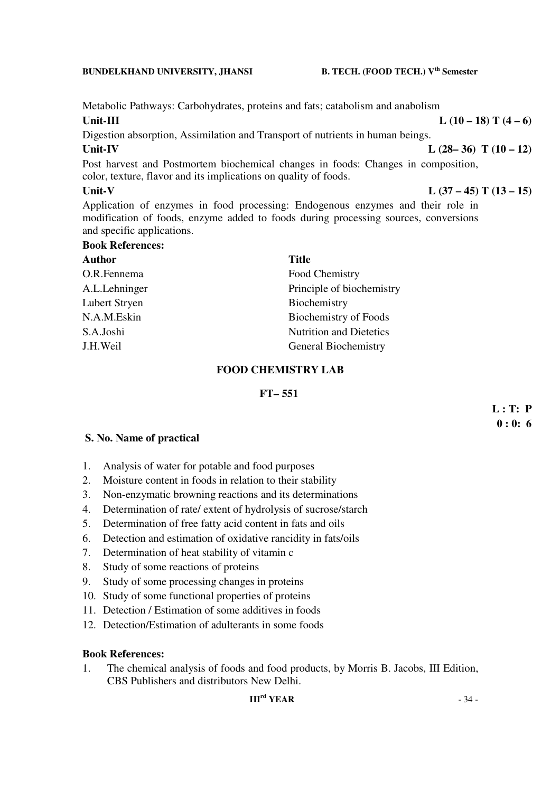Metabolic Pathways: Carbohydrates, proteins and fats; catabolism and anabolism Unit-III  $L(10-18) T(4-6)$ 

Digestion absorption, Assimilation and Transport of nutrients in human beings. Unit-IV  $L (28-36) T (10-12)$ 

Post harvest and Postmortem biochemical changes in foods: Changes in composition, color, texture, flavor and its implications on quality of foods.

## Unit-V L (37 – 45) T (13 – 15)

Application of enzymes in food processing: Endogenous enzymes and their role in modification of foods, enzyme added to foods during processing sources, conversions and specific applications.

#### **Book References:**

| Author        | <b>Title</b>                   |
|---------------|--------------------------------|
| O.R.Fennema   | Food Chemistry                 |
| A.L.Lehninger | Principle of biochemistry      |
| Lubert Stryen | Biochemistry                   |
| N.A.M.Eskin   | Biochemistry of Foods          |
| S.A.Joshi     | <b>Nutrition and Dietetics</b> |
| J.H.Weil      | <b>General Biochemistry</b>    |

## **FOOD CHEMISTRY LAB**

## **FT– 551**

 **L : T: P 0 : 0: 6** 

## **S. No. Name of practical**

- 1. Analysis of water for potable and food purposes
- 2. Moisture content in foods in relation to their stability
- 3. Non-enzymatic browning reactions and its determinations
- 4. Determination of rate/ extent of hydrolysis of sucrose/starch
- 5. Determination of free fatty acid content in fats and oils
- 6. Detection and estimation of oxidative rancidity in fats/oils
- 7. Determination of heat stability of vitamin c
- 8. Study of some reactions of proteins
- 9. Study of some processing changes in proteins
- 10. Study of some functional properties of proteins
- 11. Detection / Estimation of some additives in foods
- 12. Detection/Estimation of adulterants in some foods

## **Book References:**

1. The chemical analysis of foods and food products, by Morris B. Jacobs, III Edition, CBS Publishers and distributors New Delhi.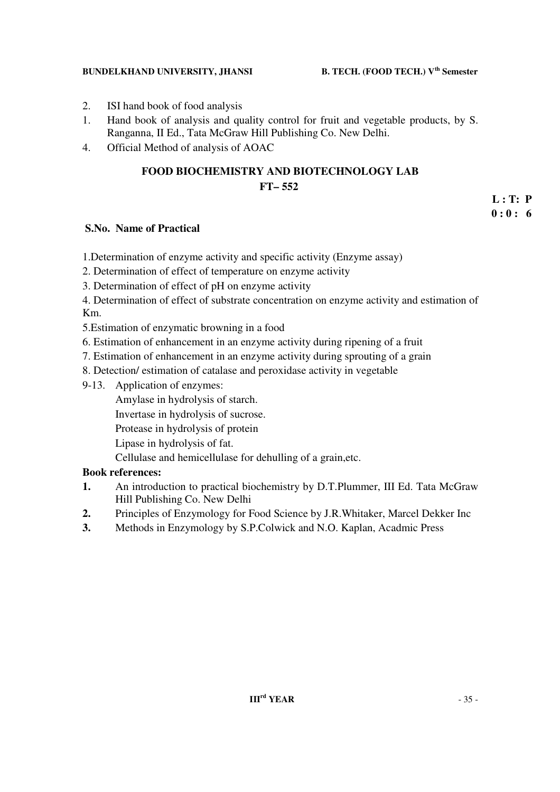- 2. ISI hand book of food analysis
- 1. Hand book of analysis and quality control for fruit and vegetable products, by S. Ranganna, II Ed., Tata McGraw Hill Publishing Co. New Delhi.
- 4. Official Method of analysis of AOAC

## **FOOD BIOCHEMISTRY AND BIOTECHNOLOGY LAB FT– 552**

## **S.No. Name of Practical**

1.Determination of enzyme activity and specific activity (Enzyme assay)

- 2. Determination of effect of temperature on enzyme activity
- 3. Determination of effect of pH on enzyme activity
- 4. Determination of effect of substrate concentration on enzyme activity and estimation of Km.
- 5.Estimation of enzymatic browning in a food
- 6. Estimation of enhancement in an enzyme activity during ripening of a fruit
- 7. Estimation of enhancement in an enzyme activity during sprouting of a grain
- 8. Detection/ estimation of catalase and peroxidase activity in vegetable
- 9-13. Application of enzymes:
	- Amylase in hydrolysis of starch.
	- Invertase in hydrolysis of sucrose.
	- Protease in hydrolysis of protein
	- Lipase in hydrolysis of fat.
	- Cellulase and hemicellulase for dehulling of a grain,etc.

## **Book references:**

- **1.** An introduction to practical biochemistry by D.T.Plummer, III Ed. Tata McGraw Hill Publishing Co. New Delhi
- **2.** Principles of Enzymology for Food Science by J.R.Whitaker, Marcel Dekker Inc
- **3.** Methods in Enzymology by S.P.Colwick and N.O. Kaplan, Acadmic Press

 **L : T: P 0 : 0 : 6**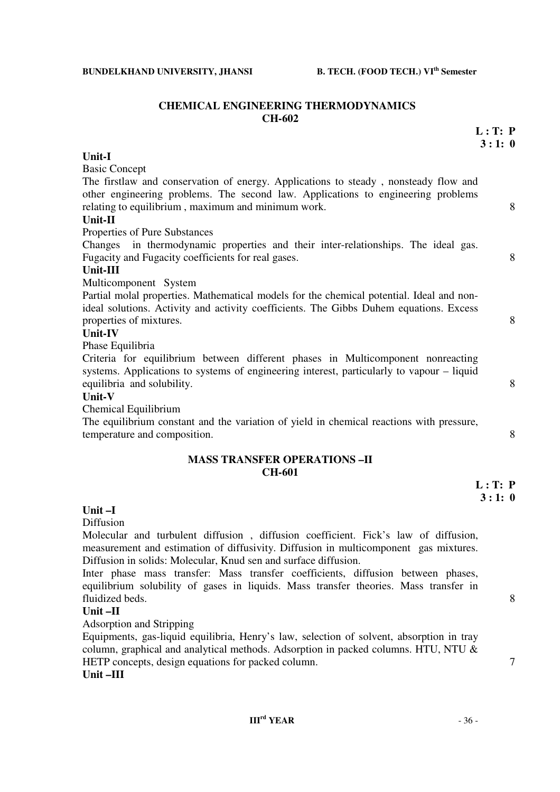**L : T: P** 

#### **CHEMICAL ENGINEERING THERMODYNAMICS CH-602**

|                                                                                                                                                                                                                               | 3:1:0   |   |
|-------------------------------------------------------------------------------------------------------------------------------------------------------------------------------------------------------------------------------|---------|---|
| Unit-I                                                                                                                                                                                                                        |         |   |
| <b>Basic Concept</b>                                                                                                                                                                                                          |         |   |
| The firstlaw and conservation of energy. Applications to steady, nonsteady flow and<br>other engineering problems. The second law. Applications to engineering problems<br>relating to equilibrium, maximum and minimum work. |         | 8 |
| Unit-II                                                                                                                                                                                                                       |         |   |
| Properties of Pure Substances                                                                                                                                                                                                 |         |   |
| in thermodynamic properties and their inter-relationships. The ideal gas.<br>Changes<br>Fugacity and Fugacity coefficients for real gases.                                                                                    |         | 8 |
| Unit-III                                                                                                                                                                                                                      |         |   |
| Multicomponent System                                                                                                                                                                                                         |         |   |
| Partial molal properties. Mathematical models for the chemical potential. Ideal and non-<br>ideal solutions. Activity and activity coefficients. The Gibbs Duhem equations. Excess<br>properties of mixtures.                 |         | 8 |
| <b>Unit-IV</b>                                                                                                                                                                                                                |         |   |
| Phase Equilibria                                                                                                                                                                                                              |         |   |
| Criteria for equilibrium between different phases in Multicomponent nonreacting<br>systems. Applications to systems of engineering interest, particularly to vapour – liquid<br>equilibria and solubility.                    |         | 8 |
| Unit-V                                                                                                                                                                                                                        |         |   |
| Chemical Equilibrium                                                                                                                                                                                                          |         |   |
| The equilibrium constant and the variation of yield in chemical reactions with pressure,<br>temperature and composition.                                                                                                      |         | 8 |
| <b>MASS TRANSFER OPERATIONS-II</b><br><b>CH-601</b>                                                                                                                                                                           |         |   |
|                                                                                                                                                                                                                               | L: T: P |   |
|                                                                                                                                                                                                                               | 3:1:0   |   |

## **Unit –I**

Diffusion

Molecular and turbulent diffusion , diffusion coefficient. Fick's law of diffusion, measurement and estimation of diffusivity. Diffusion in multicomponent gas mixtures. Diffusion in solids: Molecular, Knud sen and surface diffusion.

Inter phase mass transfer: Mass transfer coefficients, diffusion between phases, equilibrium solubility of gases in liquids. Mass transfer theories. Mass transfer in fluidized beds. 8

## **Unit –II**

Adsorption and Stripping

Equipments, gas-liquid equilibria, Henry's law, selection of solvent, absorption in tray column, graphical and analytical methods. Adsorption in packed columns. HTU, NTU & HETP concepts, design equations for packed column.  $\frac{7}{7}$ 

**Unit –III**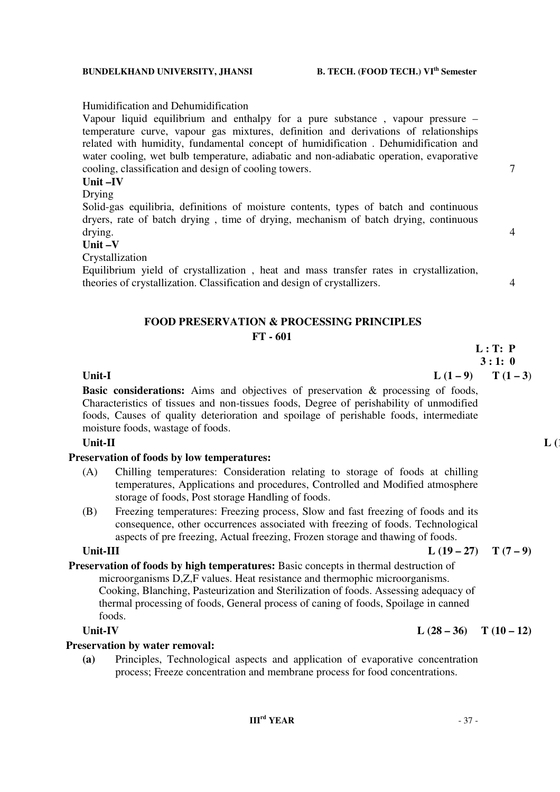## Humidification and Dehumidification

Vapour liquid equilibrium and enthalpy for a pure substance , vapour pressure – temperature curve, vapour gas mixtures, definition and derivations of relationships related with humidity, fundamental concept of humidification . Dehumidification and water cooling, wet bulb temperature, adiabatic and non-adiabatic operation, evaporative cooling, classification and design of cooling towers. 7

## **Unit –IV**

## Drying

Solid-gas equilibria, definitions of moisture contents, types of batch and continuous dryers, rate of batch drying , time of drying, mechanism of batch drying, continuous drying.  $4\overline{4}$ 

## **Unit –V**

Crystallization

Equilibrium yield of crystallization , heat and mass transfer rates in crystallization, theories of crystallization. Classification and design of crystallizers. 4

## **FOOD PRESERVATION & PROCESSING PRINCIPLES FT - 601**

**L : T: P** 

# **3 : 1: 0**

**Unit-I**  $L(1-9)$   $T(1-3)$ **Basic considerations:** Aims and objectives of preservation & processing of foods, Characteristics of tissues and non-tissues foods, Degree of perishability of unmodified foods, Causes of quality deterioration and spoilage of perishable foods, intermediate moisture foods, wastage of foods.

## **Unit-II** L (1)

## **Preservation of foods by low temperatures:**

- (A) Chilling temperatures: Consideration relating to storage of foods at chilling temperatures, Applications and procedures, Controlled and Modified atmosphere storage of foods, Post storage Handling of foods.
- (B) Freezing temperatures: Freezing process, Slow and fast freezing of foods and its consequence, other occurrences associated with freezing of foods. Technological aspects of pre freezing, Actual freezing, Frozen storage and thawing of foods.

### Unit-III  $L(19-27)$   $T(7-9)$

## **Preservation of foods by high temperatures:** Basic concepts in thermal destruction of microorganisms D,Z,F values. Heat resistance and thermophic microorganisms. Cooking, Blanching, Pasteurization and Sterilization of foods. Assessing adequacy of thermal processing of foods, General process of caning of foods, Spoilage in canned

foods.

## **Preservation by water removal:**

**(a)** Principles, Technological aspects and application of evaporative concentration process; Freeze concentration and membrane process for food concentrations.

## Unit-IV  $L (28-36)$  T  $(10-12)$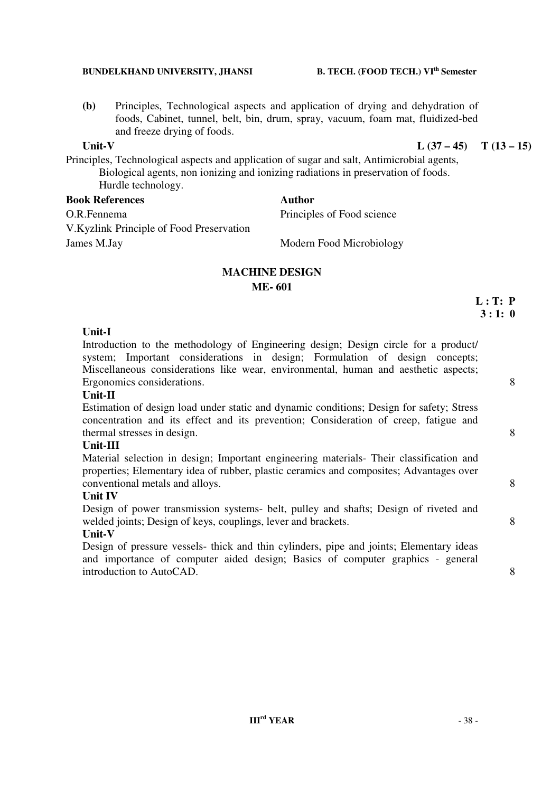**(b)** Principles, Technological aspects and application of drying and dehydration of foods, Cabinet, tunnel, belt, bin, drum, spray, vacuum, foam mat, fluidized-bed and freeze drying of foods.

## Unit-V  $L (37 - 45)$   $T (13 - 15)$

Principles, Technological aspects and application of sugar and salt, Antimicrobial agents, Biological agents, non ionizing and ionizing radiations in preservation of foods. Hurdle technology.

# **Book References Author**

O.R.Fennema Principles of Food science

V.Kyzlink Principle of Food Preservation James M.Jay Modern Food Microbiology

## **MACHINE DESIGN ME- 601**

## **Unit-I**

Introduction to the methodology of Engineering design; Design circle for a product/ system: Important considerations in design; Formulation of design concepts; Miscellaneous considerations like wear, environmental, human and aesthetic aspects; Ergonomics considerations. 8

## **Unit-II**

Estimation of design load under static and dynamic conditions; Design for safety; Stress concentration and its effect and its prevention; Consideration of creep, fatigue and thermal stresses in design. 8

## **Unit-III**

Material selection in design; Important engineering materials- Their classification and properties; Elementary idea of rubber, plastic ceramics and composites; Advantages over conventional metals and alloys. 8

## **Unit IV**

Design of power transmission systems- belt, pulley and shafts; Design of riveted and welded joints; Design of keys, couplings, lever and brackets. 8

## **Unit-V**

Design of pressure vessels- thick and thin cylinders, pipe and joints; Elementary ideas and importance of computer aided design; Basics of computer graphics - general introduction to AutoCAD. 8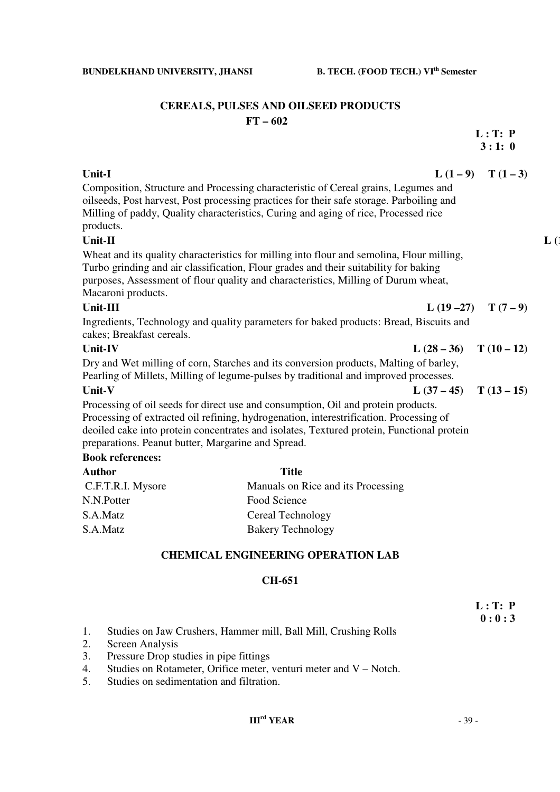|                                                    |                                                                                                                                                                                                                                                                         |                         | 3:1:0                 |
|----------------------------------------------------|-------------------------------------------------------------------------------------------------------------------------------------------------------------------------------------------------------------------------------------------------------------------------|-------------------------|-----------------------|
| Unit-I                                             |                                                                                                                                                                                                                                                                         |                         | L $(1-9)$ T $(1-3)$   |
|                                                    | Composition, Structure and Processing characteristic of Cereal grains, Legumes and                                                                                                                                                                                      |                         |                       |
|                                                    | oilseeds, Post harvest, Post processing practices for their safe storage. Parboiling and                                                                                                                                                                                |                         |                       |
|                                                    | Milling of paddy, Quality characteristics, Curing and aging of rice, Processed rice                                                                                                                                                                                     |                         |                       |
| products.                                          |                                                                                                                                                                                                                                                                         |                         |                       |
| Unit-II                                            |                                                                                                                                                                                                                                                                         |                         |                       |
| Macaroni products.                                 | Wheat and its quality characteristics for milling into flour and semolina, Flour milling,<br>Turbo grinding and air classification, Flour grades and their suitability for baking<br>purposes, Assessment of flour quality and characteristics, Milling of Durum wheat, |                         |                       |
| Unit-III                                           |                                                                                                                                                                                                                                                                         |                         | L $(19-27)$ T $(7-9)$ |
| cakes; Breakfast cereals.                          | Ingredients, Technology and quality parameters for baked products: Bread, Biscuits and                                                                                                                                                                                  |                         |                       |
| <b>Unit-IV</b>                                     |                                                                                                                                                                                                                                                                         | L $(28-36)$ T $(10-12)$ |                       |
|                                                    | Dry and Wet milling of corn, Starches and its conversion products, Malting of barley,                                                                                                                                                                                   |                         |                       |
|                                                    | Pearling of Millets, Milling of legume-pulses by traditional and improved processes.                                                                                                                                                                                    |                         |                       |
| Unit-V                                             |                                                                                                                                                                                                                                                                         | L $(37-45)$ T $(13-15)$ |                       |
|                                                    | Processing of oil seeds for direct use and consumption, Oil and protein products.                                                                                                                                                                                       |                         |                       |
|                                                    | Processing of extracted oil refining, hydrogenation, interestrification. Processing of                                                                                                                                                                                  |                         |                       |
| preparations. Peanut butter, Margarine and Spread. | deoiled cake into protein concentrates and isolates, Textured protein, Functional protein                                                                                                                                                                               |                         |                       |
| <b>Book references:</b>                            |                                                                                                                                                                                                                                                                         |                         |                       |
| $\bf{A} = \bf{A}$                                  | $T^{\prime\prime}$ and $T^{\prime}$                                                                                                                                                                                                                                     |                         |                       |

| <b>Author</b>     | Title                              |
|-------------------|------------------------------------|
| C.F.T.R.I. Mysore | Manuals on Rice and its Processing |
| N.N.Potter        | Food Science                       |
| S.A.Matz          | Cereal Technology                  |
| S.A.Matz          | <b>Bakery Technology</b>           |
|                   |                                    |

# **CHEMICAL ENGINEERING OPERATION LAB**

## **CH-651**

 **L : T: P**   $\mathbf{0}: \mathbf{0}: \mathbf{3}$ 

- 1. Studies on Jaw Crushers, Hammer mill, Ball Mill, Crushing Rolls
- 2. Screen Analysis
- 3. Pressure Drop studies in pipe fittings
- 4. Studies on Rotameter, Orifice meter, venturi meter and V Notch.
- 5. Studies on sedimentation and filtration.

## **IIIrd YEAR** - 39 -

## **BUNDELKHAND UNIVERSITY, JHANSI B. TECH. (FOOD TECH.) VI<sup>th</sup> Semester**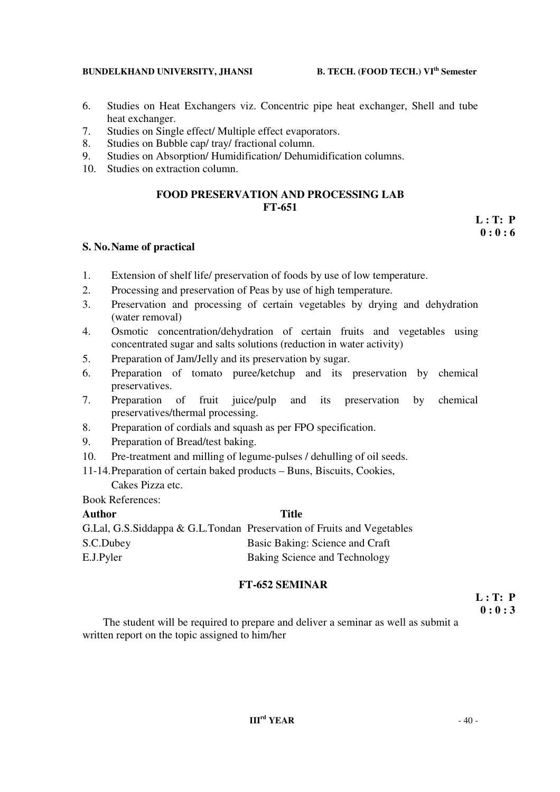- 6. Studies on Heat Exchangers viz. Concentric pipe heat exchanger, Shell and tube heat exchanger.
- 7. Studies on Single effect/ Multiple effect evaporators.
- 8. Studies on Bubble cap/ tray/ fractional column.
- 9. Studies on Absorption/ Humidification/ Dehumidification columns.
- 10. Studies on extraction column.

## **FOOD PRESERVATION AND PROCESSING LAB FT-651**

## **S. No. Name of practical**

- 1. Extension of shelf life/ preservation of foods by use of low temperature.
- 2. Processing and preservation of Peas by use of high temperature.
- 3. Preservation and processing of certain vegetables by drying and dehydration (water removal)
- 4. Osmotic concentration/dehydration of certain fruits and vegetables using concentrated sugar and salts solutions (reduction in water activity)
- 5. Preparation of Jam/Jelly and its preservation by sugar.
- 6. Preparation of tomato puree/ketchup and its preservation by chemical preservatives.
- 7. Preparation of fruit juice/pulp and its preservation by chemical preservatives/thermal processing.
- 8. Preparation of cordials and squash as per FPO specification.
- 9. Preparation of Bread/test baking.
- 10. Pre-treatment and milling of legume-pulses / dehulling of oil seeds.
- 11-14.Preparation of certain baked products Buns, Biscuits, Cookies,

Cakes Pizza etc.

Book References:

# **Author Title**  G.Lal, G.S.Siddappa & G.L.Tondan Preservation of Fruits and Vegetables S.C.Dubey Basic Baking: Science and Craft E.J.Pyler Baking Science and Technology

## **FT-652 SEMINAR**

 **L : T: P 0 : 0 : 3** 

The student will be required to prepare and deliver a seminar as well as submit a written report on the topic assigned to him/her

 **L : T: P 0 : 0 : 6**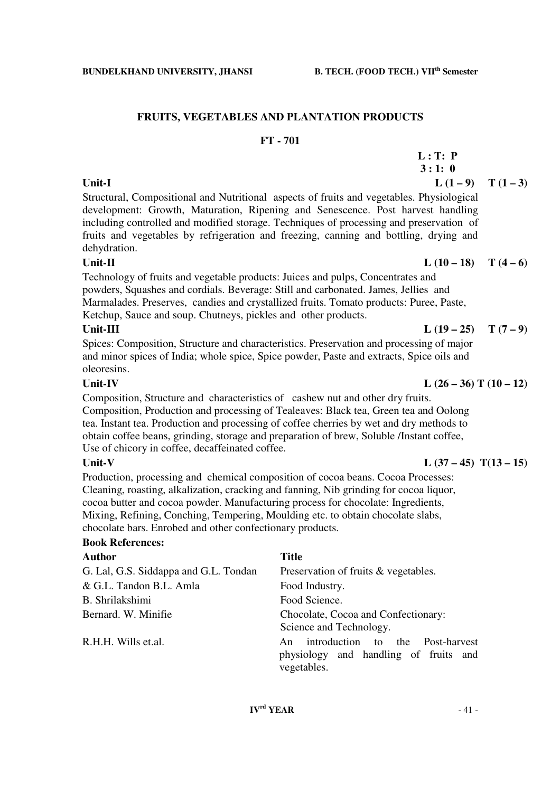# **FRUITS, VEGETABLES AND PLANTATION PRODUCTS**

## **FT - 701**

| 3:1:0                                                                                     |                     |
|-------------------------------------------------------------------------------------------|---------------------|
| Unit-I                                                                                    | L $(1-9)$ T $(1-3)$ |
| Structural, Compositional and Nutritional aspects of fruits and vegetables. Physiological |                     |
| development: Growth, Maturation, Ripening and Senescence. Post harvest handling           |                     |
| including controlled and modified storage. Techniques of processing and preservation of   |                     |

dehydration.

Technology of fruits and vegetable products: Juices and pulps, Concentrates and powders, Squashes and cordials. Beverage: Still and carbonated. James, Jellies and Marmalades. Preserves, candies and crystallized fruits. Tomato products: Puree, Paste, Ketchup, Sauce and soup. Chutneys, pickles and other products.

fruits and vegetables by refrigeration and freezing, canning and bottling, drying and

## Unit-III  $L(19-25)$   $T(7-9)$

Spices: Composition, Structure and characteristics. Preservation and processing of major and minor spices of India; whole spice, Spice powder, Paste and extracts, Spice oils and oleoresins.

Composition, Structure and characteristics of cashew nut and other dry fruits. Composition, Production and processing of Tealeaves: Black tea, Green tea and Oolong tea. Instant tea. Production and processing of coffee cherries by wet and dry methods to obtain coffee beans, grinding, storage and preparation of brew, Soluble /Instant coffee, Use of chicory in coffee, decaffeinated coffee.

Production, processing and chemical composition of cocoa beans. Cocoa Processes: Cleaning, roasting, alkalization, cracking and fanning, Nib grinding for cocoa liquor, cocoa butter and cocoa powder. Manufacturing process for chocolate: Ingredients, Mixing, Refining, Conching, Tempering, Moulding etc. to obtain chocolate slabs, chocolate bars. Enrobed and other confectionary products.

## **Book References:**

| <b>Author</b>                         | <b>Title</b>                                                                                   |
|---------------------------------------|------------------------------------------------------------------------------------------------|
| G. Lal, G.S. Siddappa and G.L. Tondan | Preservation of fruits & vegetables.                                                           |
| & G.L. Tandon B.L. Amla               | Food Industry.                                                                                 |
| B. Shrilakshimi                       | Food Science.                                                                                  |
| Bernard. W. Minifie                   | Chocolate, Cocoa and Confectionary:<br>Science and Technology.                                 |
| R.H.H. Wills et.al.                   | introduction to the Post-harvest<br>An<br>physiology and handling of fruits and<br>vegetables. |

## Unit-II  $L (10 - 18) T (4 - 6)$

## Unit-IV  $L (26 - 36) T (10 - 12)$

## Unit-V  $L (37 - 45) T(13 - 15)$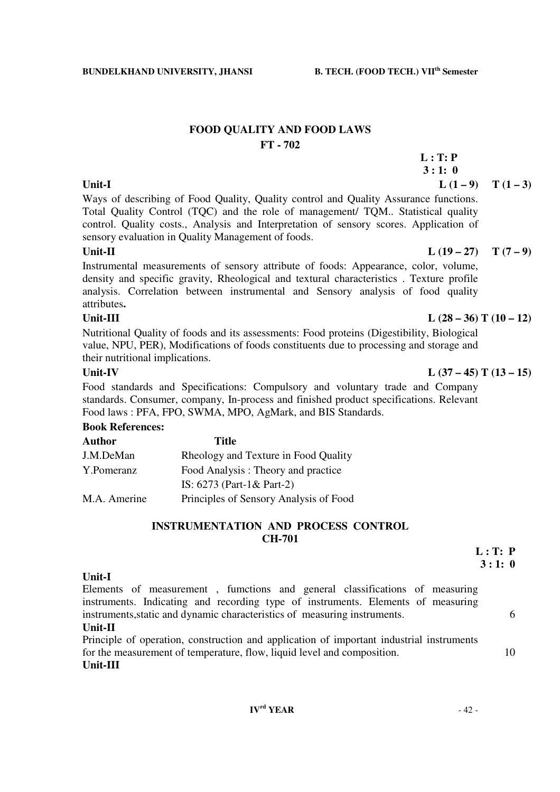## **FOOD QUALITY AND FOOD LAWS FT - 702**

 **L : T: P 3 : 1: 0**  Unit-I  $L(1-9)$   $T(1-3)$ 

Ways of describing of Food Quality, Quality control and Quality Assurance functions. Total Quality Control (TQC) and the role of management/ TQM.. Statistical quality control. Quality costs., Analysis and Interpretation of sensory scores. Application of sensory evaluation in Quality Management of foods.

## Unit-II  $L(19-27)$   $T(7-9)$

Instrumental measurements of sensory attribute of foods: Appearance, color, volume, density and specific gravity, Rheological and textural characteristics . Texture profile analysis. Correlation between instrumental and Sensory analysis of food quality attributes**.** 

Nutritional Quality of foods and its assessments: Food proteins (Digestibility, Biological value, NPU, PER), Modifications of foods constituents due to processing and storage and their nutritional implications.

Food standards and Specifications: Compulsory and voluntary trade and Company standards. Consumer, company, In-process and finished product specifications. Relevant Food laws : PFA, FPO, SWMA, MPO, AgMark, and BIS Standards.

## **Book References:**

| Title                                  |
|----------------------------------------|
| Rheology and Texture in Food Quality   |
| Food Analysis: Theory and practice     |
| IS: $6273$ (Part-1& Part-2)            |
| Principles of Sensory Analysis of Food |
|                                        |

## **INSTRUMENTATION AND PROCESS CONTROL CH-701**

## **Unit-I**

Elements of measurement , fumctions and general classifications of measuring instruments. Indicating and recording type of instruments. Elements of measuring instruments, static and dynamic characteristics of measuring instruments.

## **Unit-II**

Principle of operation, construction and application of important industrial instruments for the measurement of temperature, flow, liquid level and composition. 10

## **Unit-III**

## Unit-III  $L (28 - 36) T (10 - 12)$

## Unit-IV  $L (37 - 45) T (13 - 15)$

 **3 : 1: 0**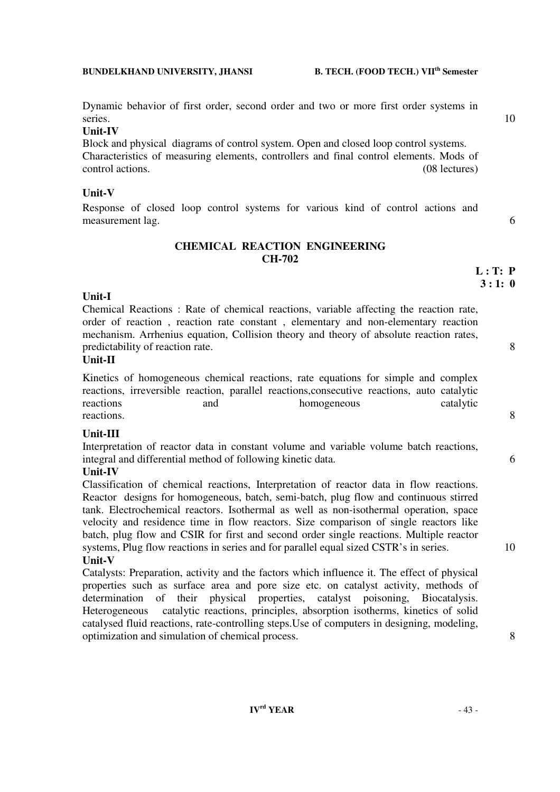Dynamic behavior of first order, second order and two or more first order systems in series. 10

## **Unit-IV**

Block and physical diagrams of control system. Open and closed loop control systems. Characteristics of measuring elements, controllers and final control elements. Mods of control actions. (08 lectures)

## **Unit-V**

Response of closed loop control systems for various kind of control actions and measurement lag. 6

## **CHEMICAL REACTION ENGINEERING CH-702**

## **Unit-I**

Chemical Reactions : Rate of chemical reactions, variable affecting the reaction rate, order of reaction , reaction rate constant , elementary and non-elementary reaction mechanism. Arrhenius equation, Collision theory and theory of absolute reaction rates, predictability of reaction rate. 8

## **Unit-II**

Kinetics of homogeneous chemical reactions, rate equations for simple and complex reactions, irreversible reaction, parallel reactions,consecutive reactions, auto catalytic reactions and homogeneous catalytic reactions. 8

## **Unit-III**

Interpretation of reactor data in constant volume and variable volume batch reactions, integral and differential method of following kinetic data. 6

## **Unit-IV**

Classification of chemical reactions, Interpretation of reactor data in flow reactions. Reactor designs for homogeneous, batch, semi-batch, plug flow and continuous stirred tank. Electrochemical reactors. Isothermal as well as non-isothermal operation, space velocity and residence time in flow reactors. Size comparison of single reactors like batch, plug flow and CSIR for first and second order single reactions. Multiple reactor systems, Plug flow reactions in series and for parallel equal sized CSTR's in series. 10 **Unit-V** 

## Catalysts: Preparation, activity and the factors which influence it. The effect of physical properties such as surface area and pore size etc. on catalyst activity, methods of determination of their physical properties, catalyst poisoning, Biocatalysis. Heterogeneous catalytic reactions, principles, absorption isotherms, kinetics of solid catalysed fluid reactions, rate-controlling steps.Use of computers in designing, modeling, optimization and simulation of chemical process. 8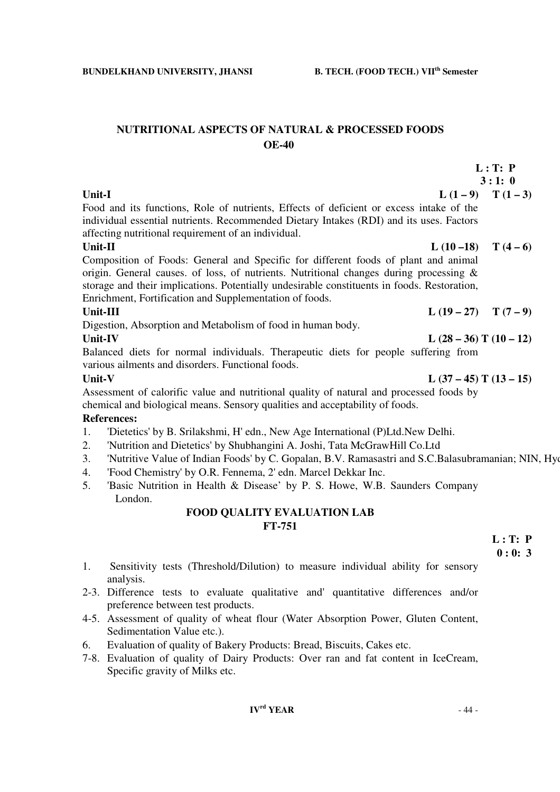## **NUTRITIONAL ASPECTS OF NATURAL & PROCESSED FOODS OE-40**

|                                                                                                                                                                                                                                                                                                                                           | L: T: P           |
|-------------------------------------------------------------------------------------------------------------------------------------------------------------------------------------------------------------------------------------------------------------------------------------------------------------------------------------------|-------------------|
|                                                                                                                                                                                                                                                                                                                                           | 3:1:0             |
| Unit-I                                                                                                                                                                                                                                                                                                                                    | $L(1-9)$ $T(1-3)$ |
| Food and its functions, Role of nutrients, Effects of deficient or excess intake of the                                                                                                                                                                                                                                                   |                   |
| individual essential nutrients. Recommended Dietary Intakes (RDI) and its uses. Factors<br>affecting nutritional requirement of an individual.                                                                                                                                                                                            |                   |
| L $(10-18)$ T $(4-6)$<br>Unit-II                                                                                                                                                                                                                                                                                                          |                   |
| Composition of Foods: General and Specific for different foods of plant and animal<br>origin. General causes. of loss, of nutrients. Nutritional changes during processing $\&$<br>storage and their implications. Potentially undesirable constituents in foods. Restoration,<br>Enrichment, Fortification and Supplementation of foods. |                   |
| Unit-III<br>L $(19-27)$ T $(7-9)$                                                                                                                                                                                                                                                                                                         |                   |
| Digestion, Absorption and Metabolism of food in human body.                                                                                                                                                                                                                                                                               |                   |
| L $(28-36)$ T $(10-12)$<br>Unit-IV                                                                                                                                                                                                                                                                                                        |                   |
| Balanced diets for normal individuals. Therapeutic diets for people suffering from<br>various ailments and disorders. Functional foods.                                                                                                                                                                                                   |                   |
| L $(37-45)$ T $(13-15)$<br>Unit-V                                                                                                                                                                                                                                                                                                         |                   |
| Assessment of calorific value and nutritional quality of natural and processed foods by<br>chemical and biological means. Sensory qualities and acceptability of foods.                                                                                                                                                                   |                   |
| <b>References:</b>                                                                                                                                                                                                                                                                                                                        |                   |
| 'Dietetics' by B. Srilakshmi, H' edn., New Age International (P)Ltd.New Delhi.<br>1.                                                                                                                                                                                                                                                      |                   |
| Wutting and District by Chubbangini A. Loopi, Toto McCrow Hill Co. I td.<br>$\gamma$ and $\gamma$                                                                                                                                                                                                                                         |                   |

- 2. 'Nutrition and Dietetics' by Shubhangini A. Joshi, Tata McGrawHill Co.Ltd
- 3. 'Nutritive Value of Indian Foods' by C. Gopalan, B.V. Ramasastri and S.C.Balasubramanian; NIN, Hyd
- 4. 'Food Chemistry' by O.R. Fennema, 2' edn. Marcel Dekkar Inc.
- 5. 'Basic Nutrition in Health & Disease' by P. S. Howe, W.B. Saunders Company London.

## **FOOD QUALITY EVALUATION LAB FT-751**

 **L : T: P**   $\bf{0:0:3}$ 

- 1. Sensitivity tests (Threshold/Dilution) to measure individual ability for sensory analysis.
- 2-3. Difference tests to evaluate qualitative and' quantitative differences and/or preference between test products.
- 4-5. Assessment of quality of wheat flour (Water Absorption Power, Gluten Content, Sedimentation Value etc.).
- 6. Evaluation of quality of Bakery Products: Bread, Biscuits, Cakes etc.
- 7-8. Evaluation of quality of Dairy Products: Over ran and fat content in IceCream, Specific gravity of Milks etc.

## **IVrd YEAR** - 44 -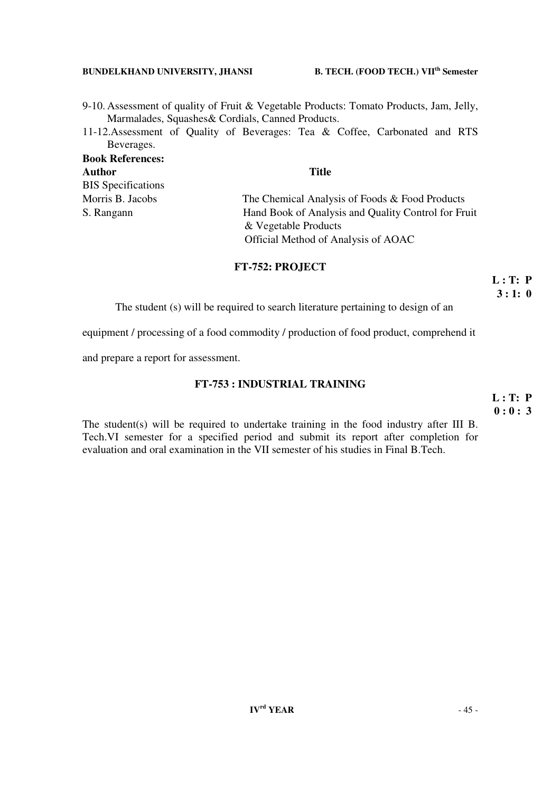- 9-10. Assessment of quality of Fruit & Vegetable Products: Tomato Products, Jam, Jelly, Marmalades, Squashes& Cordials, Canned Products.
- 11-12.Assessment of Quality of Beverages: Tea & Coffee, Carbonated and RTS Beverages.

| <b>Book References:</b>   |                                                                             |
|---------------------------|-----------------------------------------------------------------------------|
| <b>Author</b>             | <b>Title</b>                                                                |
| <b>BIS</b> Specifications |                                                                             |
| Morris B. Jacobs          | The Chemical Analysis of Foods & Food Products                              |
| S. Rangann                | Hand Book of Analysis and Quality Control for Fruit<br>& Vegetable Products |
|                           | Official Method of Analysis of AOAC                                         |

## **FT-752: PROJECT**

 **L : T: P 3 : 1: 0**

The student (s) will be required to search literature pertaining to design of an

equipment / processing of a food commodity / production of food product, comprehend it

and prepare a report for assessment.

## **FT-753 : INDUSTRIAL TRAINING**

 **L : T: P 0 : 0 : 3** 

The student(s) will be required to undertake training in the food industry after III B. Tech.VI semester for a specified period and submit its report after completion for evaluation and oral examination in the VII semester of his studies in Final B.Tech.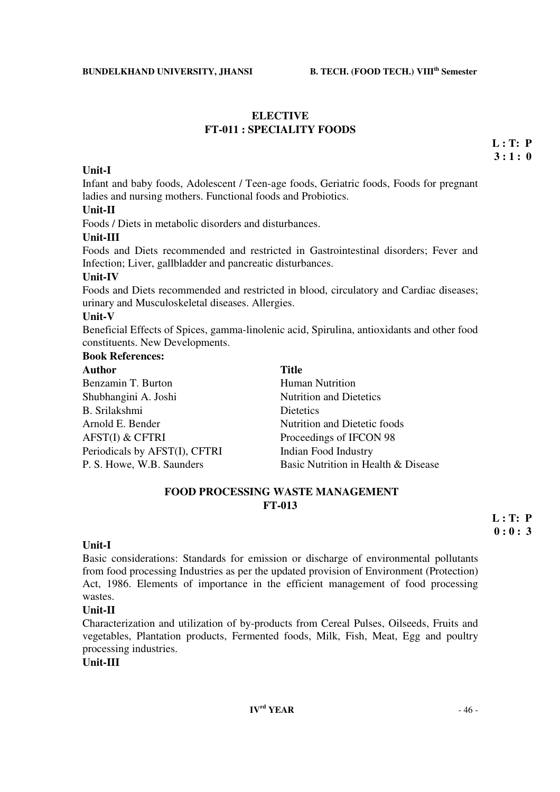## **ELECTIVE FT-011 : SPECIALITY FOODS**

 **L : T: P**   $3:1:0$ 

## **Unit-I**

Infant and baby foods, Adolescent / Teen-age foods, Geriatric foods, Foods for pregnant ladies and nursing mothers. Functional foods and Probiotics.

## **Unit-II**

Foods / Diets in metabolic disorders and disturbances.

### **Unit-III**

Foods and Diets recommended and restricted in Gastrointestinal disorders; Fever and Infection; Liver, gallbladder and pancreatic disturbances.

#### **Unit-IV**

Foods and Diets recommended and restricted in blood, circulatory and Cardiac diseases; urinary and Musculoskeletal diseases. Allergies.

#### **Unit-V**

Beneficial Effects of Spices, gamma-linolenic acid, Spirulina, antioxidants and other food constituents. New Developments.

## **Book References:**

| Author                        | <b>Title</b>                        |
|-------------------------------|-------------------------------------|
| Benzamin T. Burton            | <b>Human Nutrition</b>              |
| Shubhangini A. Joshi          | <b>Nutrition and Dietetics</b>      |
| B. Srilakshmi                 | Dietetics                           |
| Arnold E. Bender              | Nutrition and Dietetic foods        |
| <b>AFST(I) &amp; CFTRI</b>    | Proceedings of IFCON 98             |
| Periodicals by AFST(I), CFTRI | Indian Food Industry                |
| P. S. Howe, W.B. Saunders     | Basic Nutrition in Health & Disease |

## **FOOD PROCESSING WASTE MANAGEMENT FT-013**

 **L : T: P**   $\mathbf{0} : \mathbf{0} : 3$ 

### **Unit-I**

Basic considerations: Standards for emission or discharge of environmental pollutants from food processing Industries as per the updated provision of Environment (Protection) Act, 1986. Elements of importance in the efficient management of food processing wastes.

### **Unit-II**

Characterization and utilization of by-products from Cereal Pulses, Oilseeds, Fruits and vegetables, Plantation products, Fermented foods, Milk, Fish, Meat, Egg and poultry processing industries.

## **Unit-III**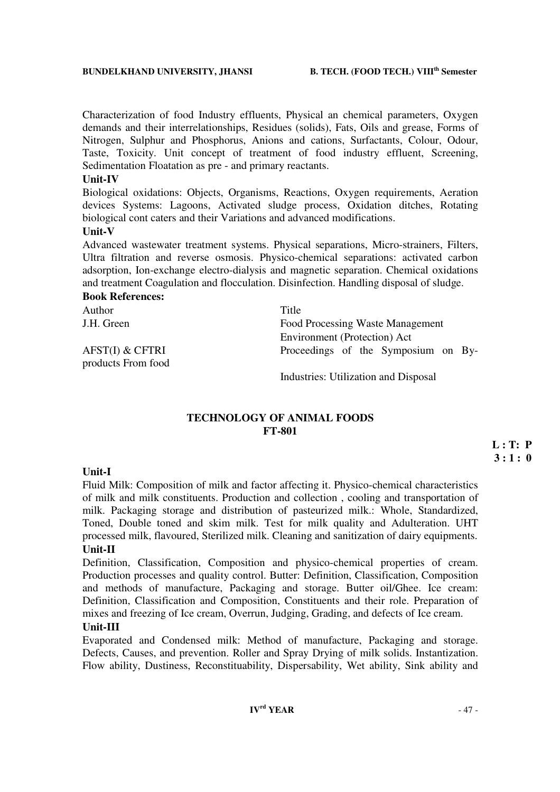Characterization of food Industry effluents, Physical an chemical parameters, Oxygen demands and their interrelationships, Residues (solids), Fats, Oils and grease, Forms of Nitrogen, Sulphur and Phosphorus, Anions and cations, Surfactants, Colour, Odour, Taste, Toxicity. Unit concept of treatment of food industry effluent, Screening, Sedimentation Floatation as pre - and primary reactants.

## **Unit-IV**

Biological oxidations: Objects, Organisms, Reactions, Oxygen requirements, Aeration devices Systems: Lagoons, Activated sludge process, Oxidation ditches, Rotating biological cont caters and their Variations and advanced modifications.

## **Unit-V**

Advanced wastewater treatment systems. Physical separations, Micro-strainers, Filters, Ultra filtration and reverse osmosis. Physico-chemical separations: activated carbon adsorption, Ion-exchange electro-dialysis and magnetic separation. Chemical oxidations and treatment Coagulation and flocculation. Disinfection. Handling disposal of sludge.

### **Book References:**

| Author             | Title                               |
|--------------------|-------------------------------------|
| J.H. Green         | Food Processing Waste Management    |
|                    | Environment (Protection) Act        |
| AFST(I) & CFTRI    | Proceedings of the Symposium on By- |
| products From food |                                     |

Industries: Utilization and Disposal

## **TECHNOLOGY OF ANIMAL FOODS FT-801**

 **L : T: P**   $3:1:0$ 

## **Unit-I**

Fluid Milk: Composition of milk and factor affecting it. Physico-chemical characteristics of milk and milk constituents. Production and collection , cooling and transportation of milk. Packaging storage and distribution of pasteurized milk.: Whole, Standardized, Toned, Double toned and skim milk. Test for milk quality and Adulteration. UHT processed milk, flavoured, Sterilized milk. Cleaning and sanitization of dairy equipments. **Unit-II** 

Definition, Classification, Composition and physico-chemical properties of cream. Production processes and quality control. Butter: Definition, Classification, Composition and methods of manufacture, Packaging and storage. Butter oil/Ghee. Ice cream: Definition, Classification and Composition, Constituents and their role. Preparation of mixes and freezing of Ice cream, Overrun, Judging, Grading, and defects of Ice cream.

## **Unit-III**

Evaporated and Condensed milk: Method of manufacture, Packaging and storage. Defects, Causes, and prevention. Roller and Spray Drying of milk solids. Instantization. Flow ability, Dustiness, Reconstituability, Dispersability, Wet ability, Sink ability and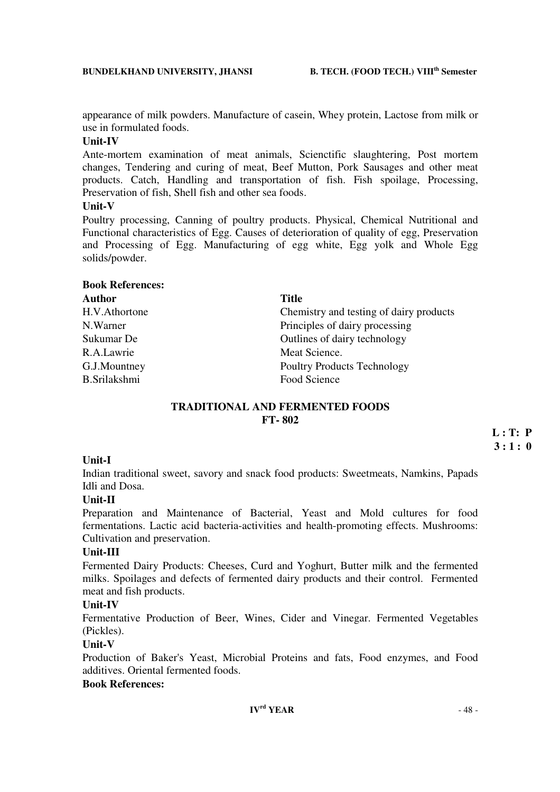appearance of milk powders. Manufacture of casein, Whey protein, Lactose from milk or use in formulated foods.

## **Unit-IV**

Ante-mortem examination of meat animals, Scienctific slaughtering, Post mortem changes, Tendering and curing of meat, Beef Mutton, Pork Sausages and other meat products. Catch, Handling and transportation of fish. Fish spoilage, Processing, Preservation of fish, Shell fish and other sea foods.

## **Unit-V**

Poultry processing, Canning of poultry products. Physical, Chemical Nutritional and Functional characteristics of Egg. Causes of deterioration of quality of egg, Preservation and Processing of Egg. Manufacturing of egg white, Egg yolk and Whole Egg solids/powder.

| <b>Book References:</b> |                                         |
|-------------------------|-----------------------------------------|
| <b>Author</b>           | <b>Title</b>                            |
| H.V.Athortone           | Chemistry and testing of dairy products |
| N.Warner                | Principles of dairy processing          |
| Sukumar De              | Outlines of dairy technology            |
| R.A.Lawrie              | Meat Science.                           |
| G.J.Mountney            | <b>Poultry Products Technology</b>      |
| <b>B.Srilakshmi</b>     | Food Science                            |

## **TRADITIONAL AND FERMENTED FOODS FT- 802**

 **L : T: P 3 : 1 : 0** 

## **Unit-I**

Indian traditional sweet, savory and snack food products: Sweetmeats, Namkins, Papads Idli and Dosa.

## **Unit-II**

Preparation and Maintenance of Bacterial, Yeast and Mold cultures for food fermentations. Lactic acid bacteria-activities and health-promoting effects. Mushrooms: Cultivation and preservation.

## **Unit-III**

Fermented Dairy Products: Cheeses, Curd and Yoghurt, Butter milk and the fermented milks. Spoilages and defects of fermented dairy products and their control. Fermented meat and fish products.

## **Unit-IV**

Fermentative Production of Beer, Wines, Cider and Vinegar. Fermented Vegetables (Pickles).

## **Unit-V**

Production of Baker's Yeast, Microbial Proteins and fats, Food enzymes, and Food additives. Oriental fermented foods.

## **Book References:**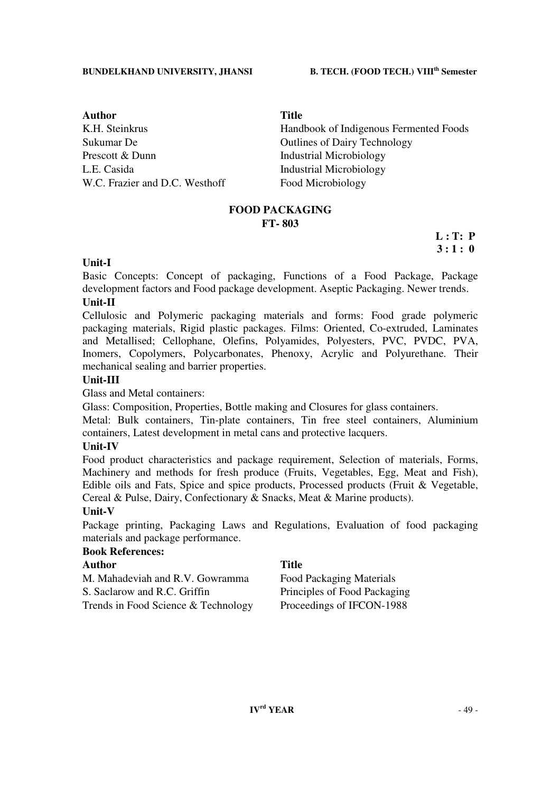**Author Title**  Sukumar De **Outlines** Outlines of Dairy Technology Prescott & Dunn Industrial Microbiology L.E. Casida Industrial Microbiology W.C. Frazier and D.C. Westhoff Food Microbiology

K.H. Steinkrus **Handbook of Indigenous Fermented Foods** 

## **FOOD PACKAGING FT- 803**

 **L : T: P 3 : 1 : 0**

## **Unit-I**

Basic Concepts: Concept of packaging, Functions of a Food Package, Package development factors and Food package development. Aseptic Packaging. Newer trends.

## **Unit-II**

Cellulosic and Polymeric packaging materials and forms: Food grade polymeric packaging materials, Rigid plastic packages. Films: Oriented, Co-extruded, Laminates and Metallised; Cellophane, Olefins, Polyamides, Polyesters, PVC, PVDC, PVA, Inomers, Copolymers, Polycarbonates, Phenoxy, Acrylic and Polyurethane. Their mechanical sealing and barrier properties.

## **Unit-III**

Glass and Metal containers:

Glass: Composition, Properties, Bottle making and Closures for glass containers.

Metal: Bulk containers, Tin-plate containers, Tin free steel containers, Aluminium containers, Latest development in metal cans and protective lacquers.

### **Unit-IV**

Food product characteristics and package requirement, Selection of materials, Forms, Machinery and methods for fresh produce (Fruits, Vegetables, Egg, Meat and Fish), Edible oils and Fats, Spice and spice products, Processed products (Fruit & Vegetable, Cereal & Pulse, Dairy, Confectionary & Snacks, Meat & Marine products).

## **Unit-V**

Package printing, Packaging Laws and Regulations, Evaluation of food packaging materials and package performance.

## **Book References:**

| Author                              | <b>Title</b>                 |
|-------------------------------------|------------------------------|
| M. Mahadeviah and R.V. Gowramma     | Food Packaging Materials     |
| S. Saclarow and R.C. Griffin        | Principles of Food Packaging |
| Trends in Food Science & Technology | Proceedings of IFCON-1988    |